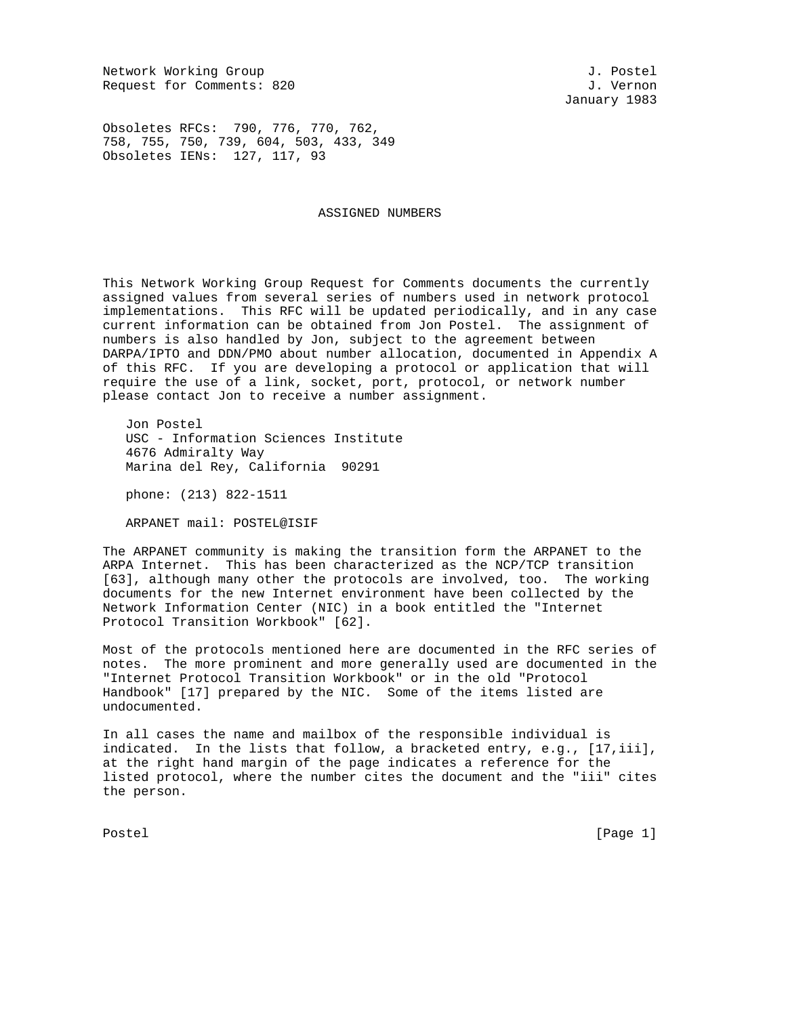Network Working Group and Society and Society and Society and J. Postel Request for Comments: 820 J. Vernon

January 1983

Obsoletes RFCs: 790, 776, 770, 762, 758, 755, 750, 739, 604, 503, 433, 349 Obsoletes IENs: 127, 117, 93

ASSIGNED NUMBERS

This Network Working Group Request for Comments documents the currently assigned values from several series of numbers used in network protocol implementations. This RFC will be updated periodically, and in any case current information can be obtained from Jon Postel. The assignment of numbers is also handled by Jon, subject to the agreement between DARPA/IPTO and DDN/PMO about number allocation, documented in Appendix A of this RFC. If you are developing a protocol or application that will require the use of a link, socket, port, protocol, or network number please contact Jon to receive a number assignment.

 Jon Postel USC - Information Sciences Institute 4676 Admiralty Way Marina del Rey, California 90291

phone: (213) 822-1511

ARPANET mail: POSTEL@ISIF

The ARPANET community is making the transition form the ARPANET to the ARPA Internet. This has been characterized as the NCP/TCP transition [63], although many other the protocols are involved, too. The working documents for the new Internet environment have been collected by the Network Information Center (NIC) in a book entitled the "Internet Protocol Transition Workbook" [62].

Most of the protocols mentioned here are documented in the RFC series of notes. The more prominent and more generally used are documented in the "Internet Protocol Transition Workbook" or in the old "Protocol Handbook" [17] prepared by the NIC. Some of the items listed are undocumented.

In all cases the name and mailbox of the responsible individual is indicated. In the lists that follow, a bracketed entry, e.g., [17,iii], at the right hand margin of the page indicates a reference for the listed protocol, where the number cites the document and the "iii" cites the person.

Postel [Page 1] [Page 1]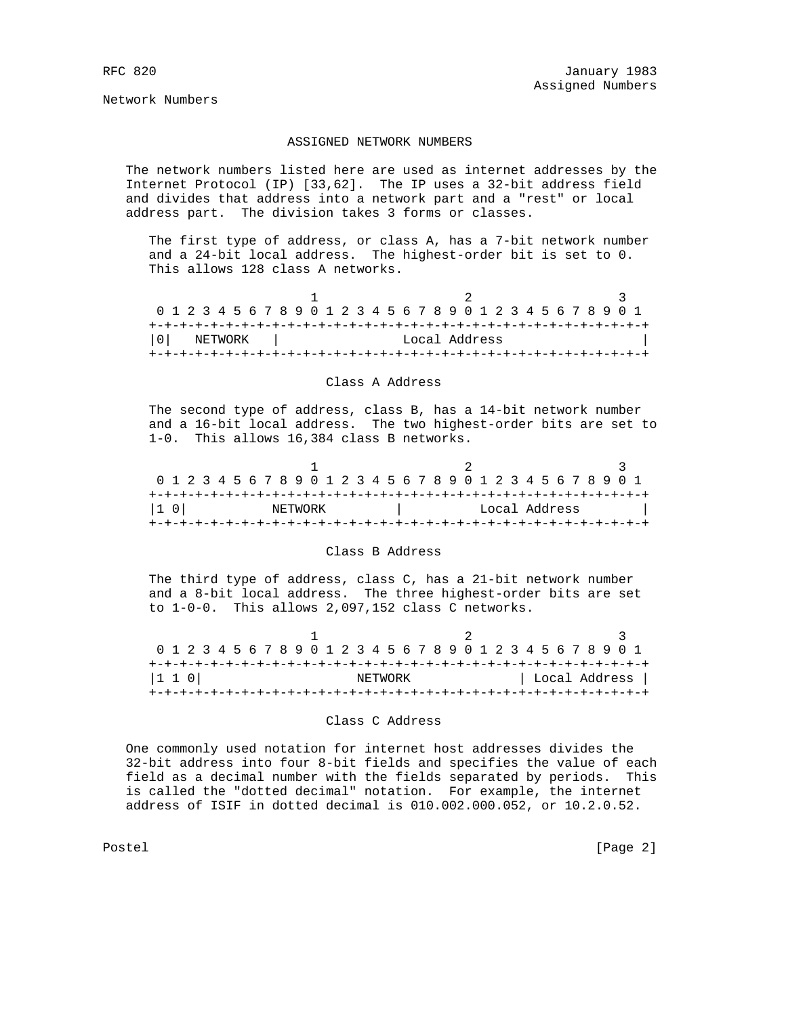Network Numbers

## ASSIGNED NETWORK NUMBERS

 The network numbers listed here are used as internet addresses by the Internet Protocol (IP) [33,62]. The IP uses a 32-bit address field and divides that address into a network part and a "rest" or local address part. The division takes 3 forms or classes.

 The first type of address, or class A, has a 7-bit network number and a 24-bit local address. The highest-order bit is set to 0. This allows 128 class A networks.

| 0 1 2 3 4 5 6 7 8 9 0 1 2 3 4 5 6 7 8 9 0 1 2 3 4 5 6 7 8 9 0 1 |         |  |  |  |  |  |  |  |  |               |  |  |  |  |  |  |
|-----------------------------------------------------------------|---------|--|--|--|--|--|--|--|--|---------------|--|--|--|--|--|--|
|                                                                 |         |  |  |  |  |  |  |  |  |               |  |  |  |  |  |  |
| l 0 l                                                           | NETWORK |  |  |  |  |  |  |  |  | Local Address |  |  |  |  |  |  |
|                                                                 |         |  |  |  |  |  |  |  |  |               |  |  |  |  |  |  |

## Class A Address

 The second type of address, class B, has a 14-bit network number and a 16-bit local address. The two highest-order bits are set to 1-0. This allows 16,384 class B networks.

| 0 1 2 3 4 5 6 7 8 9 0 1 2 3 4 5 6 7 8 9 0 1 2 3 4 5 6 7 8 9 0 1 |  |  |  |  |  |         |  |  |  |  |  |  |  |  |  |  |               |  |  |  |  |  |  |
|-----------------------------------------------------------------|--|--|--|--|--|---------|--|--|--|--|--|--|--|--|--|--|---------------|--|--|--|--|--|--|
|                                                                 |  |  |  |  |  |         |  |  |  |  |  |  |  |  |  |  |               |  |  |  |  |  |  |
| I1 OI                                                           |  |  |  |  |  | NETWORK |  |  |  |  |  |  |  |  |  |  | Local Address |  |  |  |  |  |  |
|                                                                 |  |  |  |  |  |         |  |  |  |  |  |  |  |  |  |  |               |  |  |  |  |  |  |

## Class B Address

 The third type of address, class C, has a 21-bit network number and a 8-bit local address. The three highest-order bits are set to 1-0-0. This allows 2,097,152 class C networks.

| 0 1 2 3 4 5 6 7 8 9 0 1 2 3 4 5 6 7 8 9 0 1 2 3 4 5 6 7 8 9 0 1 |  |  |  |  |  |  |         |  |  |  |  |  |  |  |  |               |
|-----------------------------------------------------------------|--|--|--|--|--|--|---------|--|--|--|--|--|--|--|--|---------------|
|                                                                 |  |  |  |  |  |  |         |  |  |  |  |  |  |  |  |               |
| $ 1\;1\;0 $                                                     |  |  |  |  |  |  | NETWORK |  |  |  |  |  |  |  |  | Local Address |
|                                                                 |  |  |  |  |  |  |         |  |  |  |  |  |  |  |  |               |

### Class C Address

 One commonly used notation for internet host addresses divides the 32-bit address into four 8-bit fields and specifies the value of each field as a decimal number with the fields separated by periods. This is called the "dotted decimal" notation. For example, the internet address of ISIF in dotted decimal is 010.002.000.052, or 10.2.0.52.

Postel [Page 2]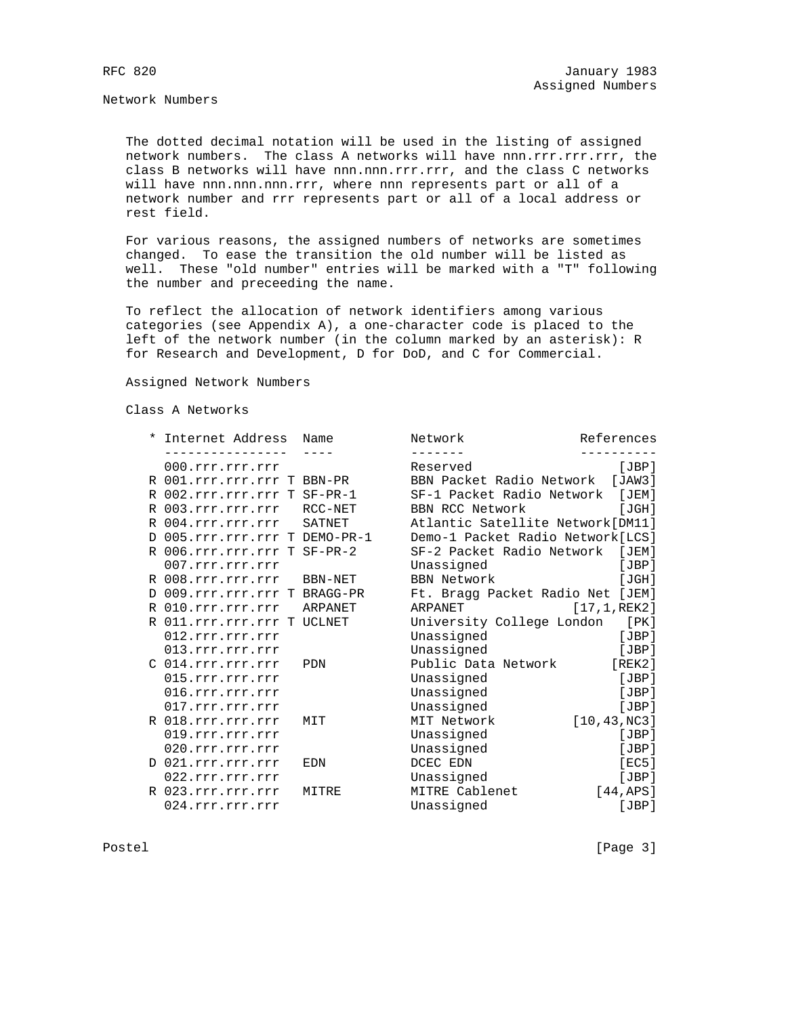Network Numbers

 The dotted decimal notation will be used in the listing of assigned network numbers. The class A networks will have nnn.rrr.rrr.rrr, the class B networks will have nnn.nnn.rrr.rrr, and the class C networks will have nnn.nnn.nnn.rrr, where nnn represents part or all of a network number and rrr represents part or all of a local address or rest field.

 For various reasons, the assigned numbers of networks are sometimes changed. To ease the transition the old number will be listed as well. These "old number" entries will be marked with a "T" following the number and preceeding the name.

 To reflect the allocation of network identifiers among various categories (see Appendix A), a one-character code is placed to the left of the network number (in the column marked by an asterisk): R for Research and Development, D for DoD, and C for Commercial.

Assigned Network Numbers

Class A Networks

|  | * Internet Address Name       |       | Network                           | References    |
|--|-------------------------------|-------|-----------------------------------|---------------|
|  |                               |       |                                   |               |
|  | 000.rrr.rrr.rrr               |       | Reserved                          | [JBP]         |
|  | R 001.rrr.rrr.rrr T BBN-PR    |       | BBN Packet Radio Network [JAW3]   |               |
|  | R 002.rrr.rrr.rrr T SF-PR-1   |       | SF-1 Packet Radio Network         | [JEM]         |
|  | R 003.rrr.rrr.rrr RCC-NET     |       | BBN RCC Network                   | [JGH]         |
|  | R 004.rrr.rrr.rrr SATNET      |       | Atlantic Satellite Network[DM11]  |               |
|  | D 005.rrr.rrr.rrr T DEMO-PR-1 |       | Demo-1 Packet Radio Network [LCS] |               |
|  | R 006.rrr.rrr.rrr T SF-PR-2   |       | SF-2 Packet Radio Network         | [JEM]         |
|  | 007.rrr.rrr.rrr               |       | Unassigned                        | [JBP]         |
|  | R 008.rrr.rrr.rrr BBN-NET     |       | BBN Network                       | [JGH]         |
|  | D 009.rrr.rrr.rrr T BRAGG-PR  |       | Ft. Bragg Packet Radio Net [JEM]  |               |
|  | R 010.rrr.rrr.rrr ARPANET     |       | ARPANET                           | [17, 1, REK2] |
|  | R 011.rrr.rrr.rrr T UCLNET    |       | University College London [PK]    |               |
|  | 012.rrr.rrr.rrr               |       | Unassigned                        | [JBP]         |
|  | 013.rrr.rrr.rrr               |       | Unassigned                        | [JBP]         |
|  | C 014.rrr.rrr.rrr             | PDN   | Public Data Network [REK2]        |               |
|  | 015.rrr.rrr.rrr               |       | Unassigned                        | [JBP]         |
|  | 016.rrr.rrr.rrr               |       | Unassigned                        | [JBP]         |
|  | 017.rrr.rrr.rrr               |       | Unassigned                        | [JBP]         |
|  | R 018.rrr.rrr.rrr             | MIT   | MIT Network                       | [10, 43, NC3] |
|  | 019.rrr.rrr.rrr               |       | Unassigned                        | [JBP]         |
|  | 020.rrr.rrr.rrr               |       | Unassigned                        | [JBP]         |
|  | D 021.rrr.rrr.rrr             | EDN   | DCEC EDN                          | [EC5]         |
|  | 022.rrr.rrr.rrr               |       | Unassigned                        | [JBP]         |
|  | R 023.rrr.rrr.rrr             | MITRE | MITRE Cablenet                    | [44,APS]      |
|  | 024.rrr.rrr.rrr               |       | Unassigned                        | [JBP]         |

Postel [Page 3]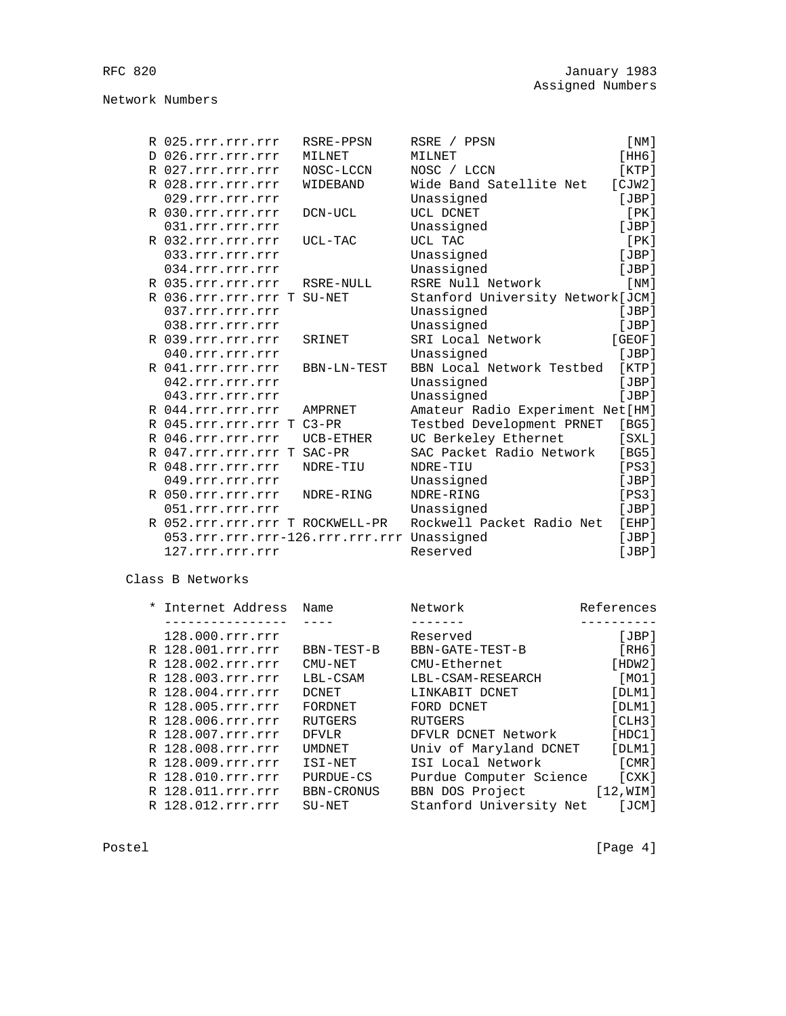|    | R 025.rrr.rrr.rrr                          | RSRE-PPSN   | RSRE / PPSN                      | [NM]   |
|----|--------------------------------------------|-------------|----------------------------------|--------|
| D. | 026.rrr.rrr.rrr                            | MILNET      | MILNET                           | [HH6]  |
|    | R 027.rrr.rrr.rrr                          | NOSC-LCCN   | NOSC / LCCN                      | [KTP]  |
|    | R 028.rrr.rrr.rrr                          | WIDEBAND    | Wide Band Satellite Net          | [CIW2] |
|    | 029.rrr.rrr.rrr                            |             | Unassigned                       | [JBP]  |
|    | R 030.rrr.rrr.rrr                          | DCN-UCL     | UCL DCNET                        | [PK]   |
|    | 031.rrr.rrr.rrr                            |             | Unassigned                       | JBP    |
|    | R 032.rrr.rrr.rrr                          | UCL-TAC     | UCL TAC                          | [PK]   |
|    | 033.rrr.rrr.rrr                            |             | Unassigned                       | [JBP]  |
|    | 034.rrr.rrr.rrr                            |             | Unassigned                       | [JBP]  |
|    | R 035.rrr.rrr.rrr                          | RSRE-NULL   | RSRE Null Network                | [NM]   |
|    | R 036.rrr.rrr.rrr T                        | SU-NET      | Stanford University Network[JCM] |        |
|    | 037.rrr.rrr.rrr                            |             | Unassigned                       | [JBP]  |
|    | 038.rrr.rrr.rrr                            |             | Unassigned                       | [JBP]  |
|    | R 039.rrr.rrr.rrr                          | SRINET      | SRI Local Network                | [GEOF] |
|    | 040.rrr.rrr.rrr                            |             | Unassigned                       | [JBP]  |
|    | R 041.rrr.rrr.rrr                          | BBN-LN-TEST | BBN Local Network Testbed        | [KTP]  |
|    | 042.rrr.rrr.rrr                            |             | Unassigned                       | JBP    |
|    | 043.rrr.rrr.rrr                            |             | Unassigned                       | JBP    |
|    | R 044.rrr.rrr.rrr                          | AMPRNET     | Amateur Radio Experiment Net[HM] |        |
|    | R 045.rrr.rrr.rrr T                        | $C3-PR$     | Testbed Development PRNET        | [BG5]  |
|    | R 046.rrr.rrr.rrr                          | UCB-ETHER   | UC Berkeley Ethernet             | [SXL]  |
|    | R 047.rrr.rrr.rrr T                        | SAC-PR      | SAC Packet Radio Network         | [BG5]  |
|    | R 048.rrr.rrr.rrr                          | NDRE-TIU    | NDRE-TIU                         | [PS3]  |
|    | 049.rrr.rrr.rrr                            |             | Unassigned                       | [JBP]  |
|    | R 050.rrr.rrr.rrr                          | NDRE-RING   | NDRE-RING                        | [PS3]  |
|    | 051.rrr.rrr.rrr                            |             | Unassigned                       | [JBP]  |
|    | R 052.rrr.rrr.rrr T ROCKWELL-PR            |             | Rockwell Packet Radio Net        | [EHP]  |
|    | 053.rrr.rrr.rrr-126.rrr.rrr.rrr Unassigned |             |                                  | [JBP]  |
|    | 127.rrr.rrr.rrr                            |             | Reserved                         | JBP    |

Class B Networks

| Internet Address  | Name              | Network                 | References |
|-------------------|-------------------|-------------------------|------------|
|                   |                   |                         |            |
| 128.000.rrr.rrr   |                   | Reserved                | [JBP]      |
| R 128.001.rrr.rrr | BBN-TEST-B        | BBN-GATE-TEST-B         | [ RH6 ]    |
| R 128.002.rrr.rrr | CMU-NET           | CMU-Ethernet            | [HDW2]     |
| R 128.003.rrr.rrr | LBL-CSAM          | LBL-CSAM-RESEARCH       | [MO1]      |
| R 128.004.rrr.rrr | <b>DCNET</b>      | LINKABIT DCNET          | [DLM1]     |
| R 128.005.rrr.rrr | FORDNET           | FORD DCNET              | [DIM1]     |
| R 128.006.rrr.rrr | RUTGERS           | <b>RUTGERS</b>          | [CHB]      |
| R 128.007.rrr.rrr | <b>DFVLR</b>      | DFVLR DCNET Network     | [HDC1]     |
| R 128.008.rrr.rrr | <b>UMDNET</b>     | Univ of Maryland DCNET  | [DLM1]     |
| R 128.009.rrr.rrr | ISI-NET           | ISI Local Network       | [CMR]      |
| R 128.010.rrr.rrr | PURDUE-CS         | Purdue Computer Science | [CXK]      |
| R 128.011.rrr.rrr | <b>BBN-CRONUS</b> | BBN DOS Project         | [12, WIM]  |
| R 128.012.rrr.rrr | $SU-NET$          | Stanford University Net | [JCM]      |

Postel [Page 4]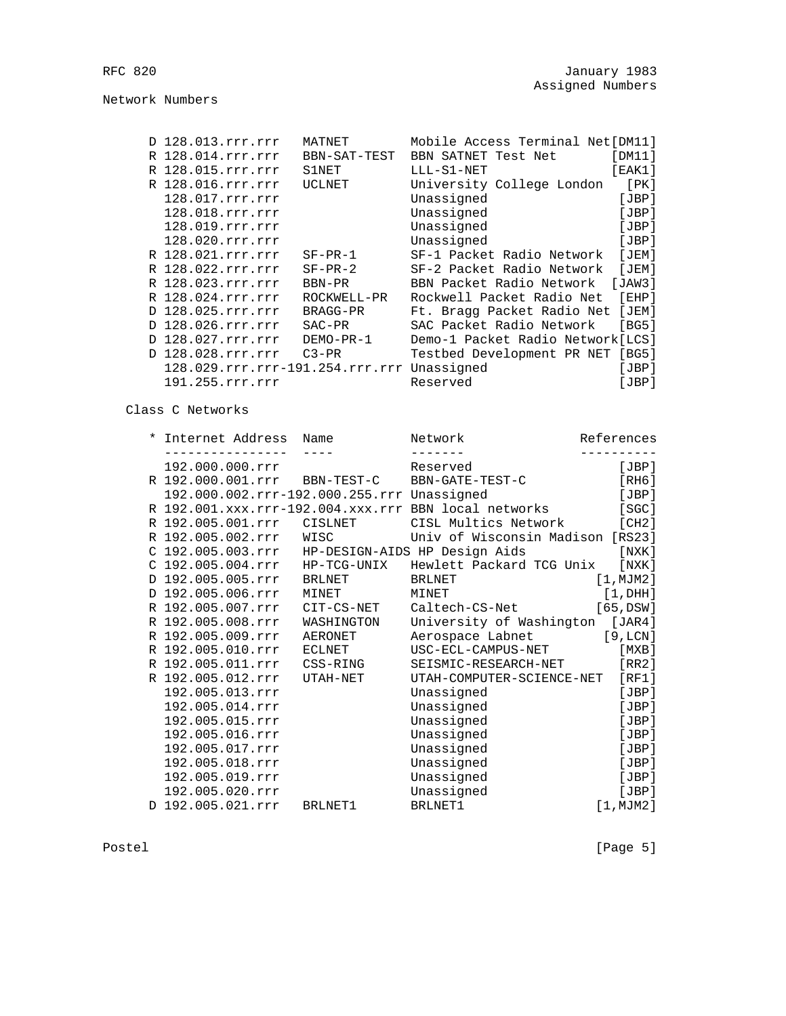Network Numbers

|  | D 128.013.rrr.rrr                          | MATNET       | Mobile Access Terminal Net[DM11]  |        |
|--|--------------------------------------------|--------------|-----------------------------------|--------|
|  | R 128.014.rrr.rrr                          | BBN-SAT-TEST | BBN SATNET Test Net               | [DM11] |
|  | R 128.015.rrr.rrr                          | S1NET        | $LLL-S1-NET$                      | [EAK1] |
|  | R 128.016.rrr.rrr                          | UCLNET       | University College London         | [PK]   |
|  | 128.017.rrr.rrr                            |              | Unassigned                        | [JBP]  |
|  | 128.018.rrr.rrr                            |              | Unassigned                        | [JBP]  |
|  | 128.019.rrr.rrr                            |              | Unassigned                        | [JBP]  |
|  | 128.020.rrr.rrr                            |              | Unassigned                        | [JBP]  |
|  | R 128.021.rrr.rrr                          | $SF-PR-1$    | SF-1 Packet Radio Network         | [JEM]  |
|  | R 128.022.rrr.rrr                          | $SF-PR-2$    | SF-2 Packet Radio Network         | [JEM]  |
|  | R 128.023.rrr.rrr                          | BBN-PR       | BBN Packet Radio Network          | [JAW3] |
|  | R 128.024.rrr.rrr                          | ROCKWELL-PR  | Rockwell Packet Radio Net         | [EHP]  |
|  | D 128.025.rrr.rrr                          | BRAGG-PR     | Ft. Bragg Packet Radio Net        | [JEM]  |
|  | D 128.026.rrr.rrr                          | $SAC-PR$     | SAC Packet Radio Network          | [BG5]  |
|  | D 128.027.rrr.rrr                          | DEMO-PR-1    | Demo-1 Packet Radio Network [LCS] |        |
|  | D 128.028.rrr.rrr                          | $C3-PR$      | Testbed Development PR NET        | [BG5]  |
|  | 128.029.rrr.rrr-191.254.rrr.rrr Unassigned |              |                                   | [JBP]  |
|  | 191.255.rrr.rrr                            |              | Reserved                          | [JBP]  |

Class C Networks

|  | * Internet Address Name                    |               | Network                                                      | References  |
|--|--------------------------------------------|---------------|--------------------------------------------------------------|-------------|
|  |                                            | $\frac{1}{2}$ |                                                              |             |
|  | 192.000.000.rrr                            |               | Reserved                                                     | [JBP]       |
|  |                                            |               | R 192.000.001.rrr BBN-TEST-C BBN-GATE-TEST-C                 | [RH6]       |
|  | 192.000.002.rrr-192.000.255.rrr Unassigned |               |                                                              | [JBP]       |
|  |                                            |               | R 192.001.xxx.rrr-192.004.xxx.rrr BBN local networks         | [SGC]       |
|  |                                            |               | R 192.005.001.rrr CISLNET CISL Multics Network [CH2]         |             |
|  | R 192.005.002.rrr WISC                     |               | Univ of Wisconsin Madison [RS23]                             |             |
|  |                                            |               | C 192.005.003.rrr HP-DESIGN-AIDS HP Design Aids              | [ NXK ]     |
|  |                                            |               | C 192.005.004.rrr HP-TCG-UNIX Hewlett Packard TCG Unix [NXK] |             |
|  | D 192.005.005.rrr                          | <b>BRLNET</b> | BRLNET                                                       | [1, MJM2]   |
|  | D 192.005.006.rrr                          | MINET         | MINET                                                        | $[1$ , DHH] |
|  | R 192.005.007.rrr                          | CIT-CS-NET    | Caltech-CS-Net [65,DSW]                                      |             |
|  | R 192.005.008.rrr                          | WASHINGTON    | University of Washington [JAR4]                              |             |
|  | R 192.005.009.rrr                          | AERONET       | Aerospace Labnet [9, LCN]                                    |             |
|  | R 192.005.010.rrr                          | ECLNET        | USC-ECL-CAMPUS-NET                                           | [MXB]       |
|  |                                            |               | SEISMIC-RESEARCH-NET [RR2]                                   |             |
|  | R 192.005.012.rrr                          | UTAH-NET      | UTAH-COMPUTER-SCIENCE-NET                                    | [RF1]       |
|  | 192.005.013.rrr                            |               | Unassigned                                                   | [JBP]       |
|  | 192.005.014.rrr                            |               | Unassigned                                                   | [JBP]       |
|  | 192.005.015.rrr                            |               | Unassigned                                                   | [JBP]       |
|  | 192.005.016.rrr                            |               | Unassigned                                                   | [JBP]       |
|  | 192.005.017.rrr                            |               | Unassigned                                                   | [JBP]       |
|  | 192.005.018.rrr                            |               | Unassigned                                                   | [JBP]       |
|  | 192.005.019.rrr                            |               | Unassigned                                                   | [JBP]       |
|  | 192.005.020.rrr                            |               | Unassigned                                                   | [JBP]       |
|  | D 192.005.021.rrr BRLNET1                  |               | BRLNET1                                                      | [1, MJM2]   |
|  |                                            |               |                                                              |             |

Postel [Page 5]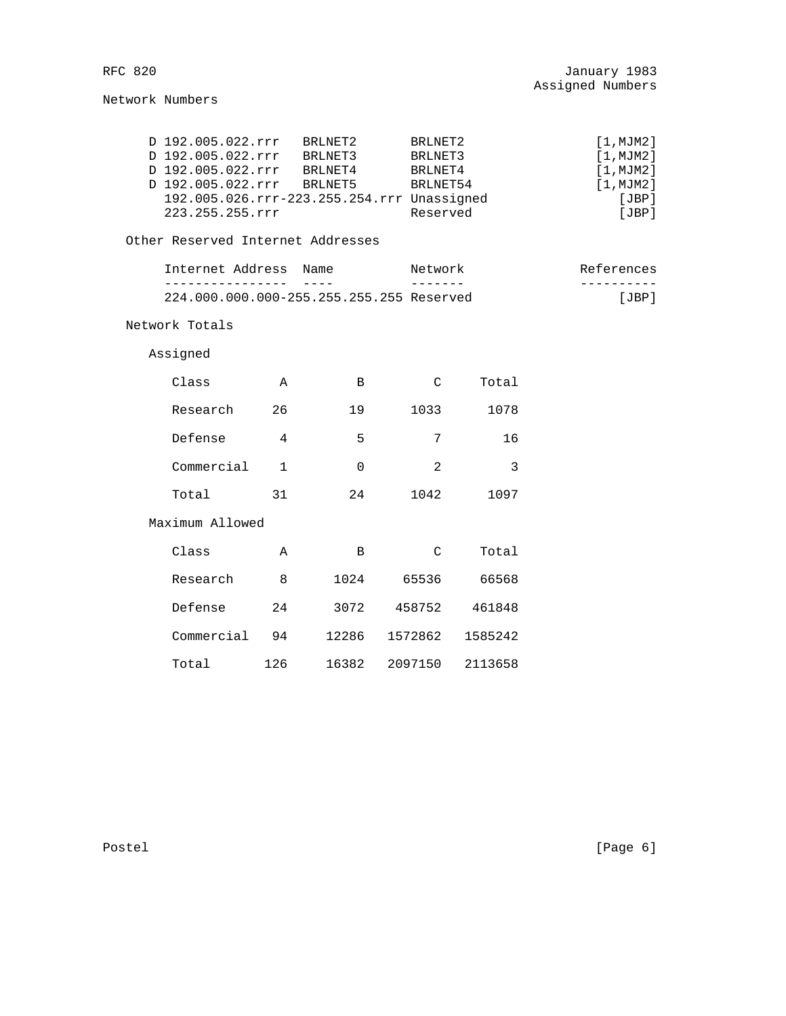Network Numbers

|  | D 192.005.022.rrr                          | BRLNET2 | BRLNET2  | [1, MJM2] |
|--|--------------------------------------------|---------|----------|-----------|
|  | D 192.005.022.rrr                          | BRLNET3 | BRLNET3  | [1, MJM2] |
|  | D 192.005.022.rrr                          | BRLNET4 | BRLNET4  | [1, MJM2] |
|  | D 192.005.022.rrr                          | BRINET5 | BRLNET54 | [1, MJM2] |
|  | 192.005.026.rrr-223.255.254.rrr Unassigned |         |          | [JBP]     |
|  | 223.255.255.rrr                            |         | Reserved | [JBP]     |
|  |                                            |         |          |           |

Other Reserved Internet Addresses

| Internet Address                         | Name | Network | References |
|------------------------------------------|------|---------|------------|
|                                          |      |         |            |
| 224.000.000.000-255.255.255.255 Reserved |      |         | ⊺ JBP ا    |

Network Totals

Assigned

| Class           | Α            | B           | C              | Total   |
|-----------------|--------------|-------------|----------------|---------|
| Research        | 26           | 19          | 1033           | 1078    |
| Defense         | 4            | 5           | 7              | 16      |
| Commercial      | $\mathbf{1}$ | $\mathbf 0$ | $\overline{2}$ | 3       |
| Total           | 31           | 24          | 1042           | 1097    |
| Maximum Allowed |              |             |                |         |
| Class           | Α            | B           | C              | Total   |
| Research        | 8            | 1024        | 65536          | 66568   |
| Defense         | 24           | 3072        | 458752         | 461848  |
| Commercial      | 94           | 12286       | 1572862        | 1585242 |
| Total           | 126          | 16382       | 2097150        | 2113658 |

Postel [Page 6]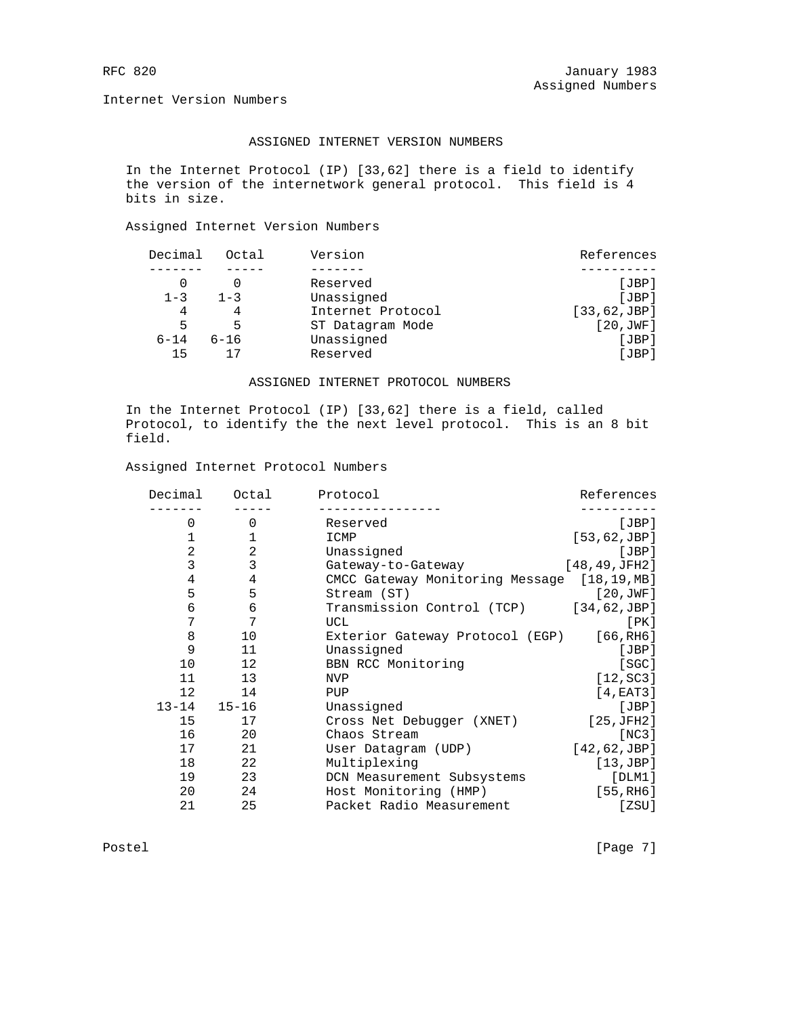Internet Version Numbers

# ASSIGNED INTERNET VERSION NUMBERS

 In the Internet Protocol (IP) [33,62] there is a field to identify the version of the internetwork general protocol. This field is 4 bits in size.

## Assigned Internet Version Numbers

| Decimal  | Octal    | Version           | References    |
|----------|----------|-------------------|---------------|
|          |          |                   |               |
|          |          | Reserved          | [JBP]         |
| $1 - 3$  | $1 - 3$  | Unassigned        | JBP           |
| 4        |          | Internet Protocol | [33, 62, JBP] |
| 5        | 5        | ST Datagram Mode  | [20,JWF]      |
| $6 - 14$ | $6 - 16$ | Unassigned        | [JBP]         |
| 15       |          | Reserved          | [JBP]         |

## ASSIGNED INTERNET PROTOCOL NUMBERS

 In the Internet Protocol (IP) [33,62] there is a field, called Protocol, to identify the the next level protocol. This is an 8 bit field.

#### Assigned Internet Protocol Numbers

| Decimal        | Octal          | Protocol                                    | References             |
|----------------|----------------|---------------------------------------------|------------------------|
| $\Omega$       | $\Omega$       | Reserved                                    | [JBP]                  |
|                | 1              | ICMP                                        | [53, 62, JBP]          |
| $\overline{2}$ | 2              | Unassigned                                  | [JBP]                  |
| 3              | 3              | Gateway-to-Gateway                          | [48, 49, JFH2]         |
| $\overline{4}$ | $\overline{4}$ | CMCC Gateway Monitoring Message [18,19, MB] |                        |
| 5              | 5              | Stream (ST)                                 | [20,JWF]               |
| $\epsilon$     | $\epsilon$     | Transmission Control (TCP)                  | [34, 62, JBP]          |
| 7              | 7              | UCL                                         | [ PK ]                 |
| 8              | 10             | Exterior Gateway Protocol (EGP)             | [66, RH6]              |
| 9              | 11             | Unassigned                                  | [JBP]                  |
| 10             | 12             | BBN RCC Monitoring                          | [SGC]                  |
| 11             | 13             | <b>NVP</b>                                  | [12, SC3]              |
| $12 \,$        | 14             | PUP                                         | [4, EAT3]              |
| $13 - 14$      | $15 - 16$      | Unassigned                                  | [JBP]                  |
| 15             | 17             | Cross Net Debugger (XNET)                   | [25,JFH2]              |
| 16             | 20             | Chaos Stream                                | [NC3]                  |
| 17             | 21             | User Datagram (UDP)                         | [42, 62, JBP]          |
| 18             | 22             | Multiplexing                                | [13,JBP]               |
| 19             | 23             | DCN Measurement Subsystems                  | [DIM1]                 |
| 20             | 24             | Host Monitoring (HMP)                       | [55, R <sub>H6</sub> ] |
| 21             | 25             | Packet Radio Measurement                    | [ZSU]                  |
|                |                |                                             |                        |

Postel [Page 7]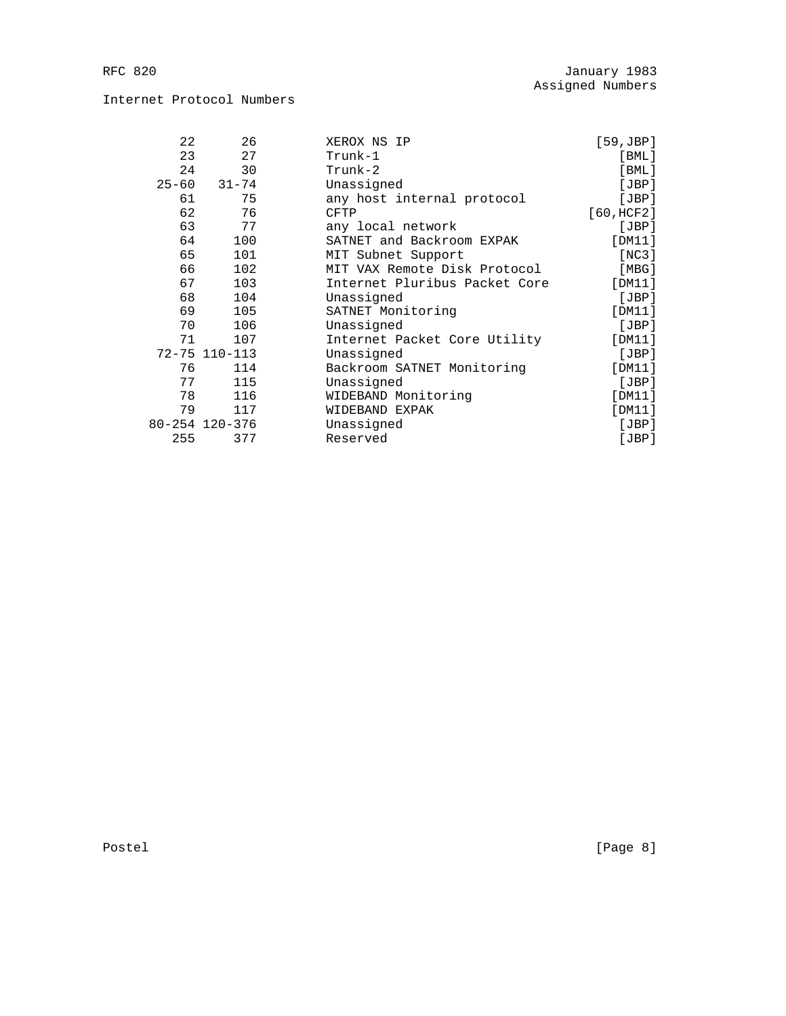# Internet Protocol Numbers

| 22        | 26             | XEROX NS IP                   | $[59, \text{JBP}]$ |
|-----------|----------------|-------------------------------|--------------------|
| 23        | 27             | Trunk-1                       | $[$ BML $]$        |
| 24        | 30             | $Trunk-2$                     | $[$ BML $]$        |
| $25 - 60$ | $31 - 74$      | Unassigned                    | [JBP]              |
| 61        | 75             | any host internal protocol    | [JBP]              |
| 62        | 76             | <b>CFTP</b>                   | [60, HCF2]         |
| 63        | 77             | any local network             | [JBP]              |
| 64        | 100            | SATNET and Backroom EXPAK     | [DM11]             |
| 65        | 101            | MIT Subnet Support            | [NC3]              |
| 66        | 102            | MIT VAX Remote Disk Protocol  | [MBG]              |
| 67        | 103            | Internet Pluribus Packet Core | [DM11]             |
| 68        | 104            | Unassigned                    | [JBP]              |
| 69        | 105            | SATNET Monitoring             | [DM11]             |
| 70        | 106            | Unassigned                    | [JBP]              |
| 71        | 107            | Internet Packet Core Utility  | [DM11]             |
|           | 72-75 110-113  | Unassigned                    | [JBP]              |
| 76        | 114            | Backroom SATNET Monitoring    | [DM11]             |
| 77        | 115            | Unassigned                    | [JBP]              |
| 78        | 116            | WIDEBAND Monitoring           | [DM11]             |
| 79        | 117            | WIDEBAND EXPAK                | [DM11]             |
|           | 80-254 120-376 | Unassigned                    | [JBP]              |
| 255       | 377            | Reserved                      | [JBP]              |

Postel [Page 8]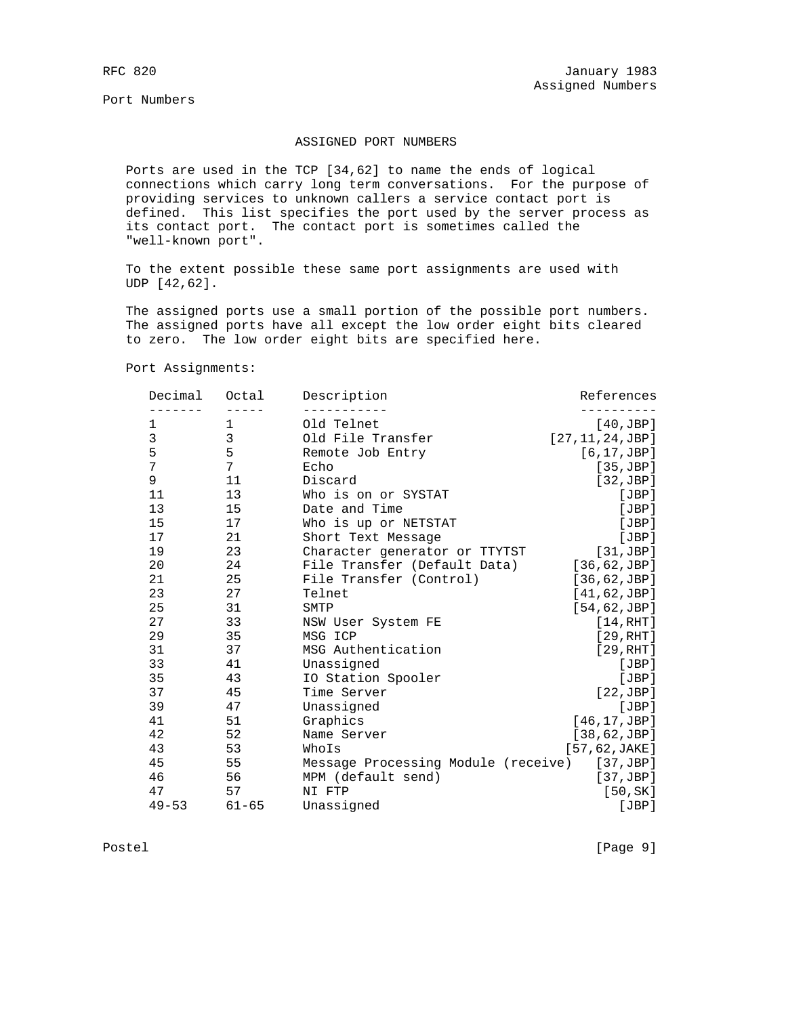Port Numbers

## ASSIGNED PORT NUMBERS

 Ports are used in the TCP [34,62] to name the ends of logical connections which carry long term conversations. For the purpose of providing services to unknown callers a service contact port is defined. This list specifies the port used by the server process as its contact port. The contact port is sometimes called the "well-known port".

 To the extent possible these same port assignments are used with UDP [42,62].

 The assigned ports use a small portion of the possible port numbers. The assigned ports have all except the low order eight bits cleared to zero. The low order eight bits are specified here.

Port Assignments:

| Decimal   | Octal     | Description                         | References        |
|-----------|-----------|-------------------------------------|-------------------|
| 1         | 1         | Old Telnet                          | [40,JBP]          |
| 3         | 3         | Old File Transfer                   | [27, 11, 24, JBP] |
| 5         | 5         | Remote Job Entry                    | [6, 17, JBP]      |
| 7         | 7         | Echo                                | [35, JBP]         |
| 9         | 11        | Discard                             | [32,JBP]          |
| 11        | 13        | Who is on or SYSTAT                 | [JBP]             |
| 13        | 15        | Date and Time                       | [JBP]             |
| 15        | 17        | Who is up or NETSTAT                | [JBP]             |
| 17        | 21        | Short Text Message                  | [JBP]             |
| 19        | 23        | Character generator or TTYTST       | [31,JBP]          |
| 20        | 24        | File Transfer (Default Data)        | [36, 62, JBP]     |
| 21        | 25        | File Transfer (Control)             | [36, 62, JBP]     |
| 23        | 27        | Telnet                              | [41, 62, JBP]     |
| 25        | 31        | SMTP                                | [54, 62, JBP]     |
| 27        | 33        | NSW User System FE                  | [14, RHT]         |
| 29        | 35        | MSG ICP                             | [29, RHT]         |
| 31        | 37        | MSG Authentication                  | [29, RHT]         |
| 33        | 41        | Unassigned                          | [JBP]             |
| 35        | 43        | IO Station Spooler                  | [JBP]             |
| 37        | 45        | Time Server                         | [22,JBP]          |
| 39        | 47        | Unassigned                          | [JBP]             |
| 41        | 51        | Graphics                            | [46, 17, JBP]     |
| 42        | 52        | Name Server                         | [38, 62, JBP]     |
| 43        | 53        | WhoIs                               | [57, 62, JAKE]    |
| 45        | 55        | Message Processing Module (receive) | [37,JBP]          |
| 46        | 56        | MPM (default send)                  | [37,JBP]          |
| 47        | 57        | NI FTP                              | [50, SK]          |
| $49 - 53$ | $61 - 65$ | Unassigned                          | [JBP]             |

Postel [Page 9]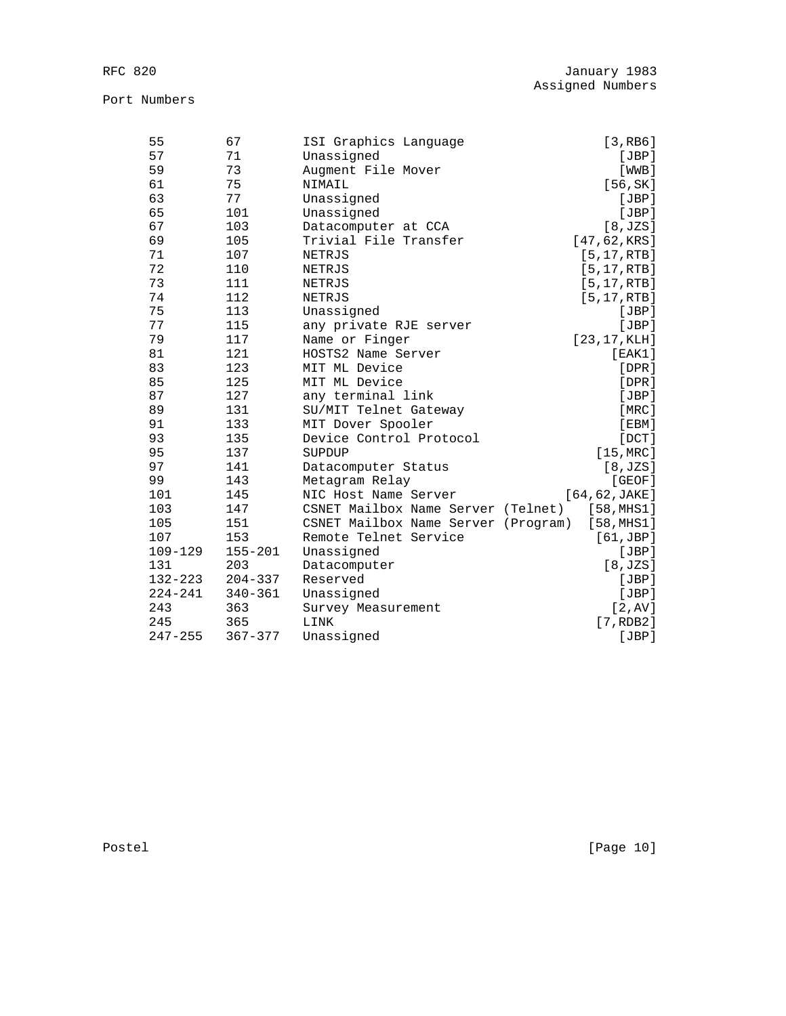| 55          | 67          | ISI Graphics Language               | [3, RB6]           |
|-------------|-------------|-------------------------------------|--------------------|
| 57          | 71          | Unassigned                          | [JBP]              |
| 59          | 73          | Augment File Mover                  | [WWB]              |
| 61          | 75          | NIMAIL                              | [56, SK]           |
| 63          | 77          | Unassigned                          | [JBP]              |
| 65          | 101         | Unassigned                          | [JBP]              |
| 67          | 103         | Datacomputer at CCA                 | [8, JZS]           |
| 69          | 105         | Trivial File Transfer               | [47, 62, KRS]      |
| 71          | 107         | NETRJS                              | [5, 17, RTB]       |
| 72          | 110         | NETRJS                              | [5, 17, RTB]       |
| 73          | 111         | NETRJS                              | $[5, 17,$ RTB]     |
| 74          | 112         | NETRJS                              | [5, 17, RTB]       |
| 75          | 113         | Unassigned                          | [JBP]              |
| 77          | 115         | any private RJE server              | [JBP]              |
| 79          | 117         | Name or Finger                      | [23, 17, KLH]      |
| 81          | 121         | HOSTS2 Name Server                  | [EAK1]             |
| 83          | 123         | MIT ML Device                       | $[$ DPR $]$        |
| 85          | 125         | MIT ML Device                       | $[$ DPR $]$        |
| 87          | 127         | any terminal link                   | [JBP]              |
| 89          | 131         | SU/MIT Telnet Gateway               | [MRC]              |
| 91          | 133         | MIT Dover Spooler                   | [EBM]              |
| 93          | 135         | Device Control Protocol             | $[$ DCT $]$        |
| 95          | 137         | SUPDUP                              | $[15, \text{MRC}]$ |
| 97          | 141         | Datacomputer Status                 | [8, JZS]           |
| 99          | 143         | Metagram Relay                      | [GEOF]             |
| 101         | 145         | NIC Host Name Server                | [64, 62, JAKE]     |
| 103         | 147         | CSNET Mailbox Name Server (Telnet)  | [58,MHS1]          |
| 105         | 151         | CSNET Mailbox Name Server (Program) | [58, MHz1]         |
| 107         | 153         | Remote Telnet Service               | [61,JBP]           |
| $109 - 129$ | $155 - 201$ | Unassigned                          | [JBP]              |
| 131         | 203         | Datacomputer                        | [8, JZS]           |
| 132-223     | $204 - 337$ | Reserved                            | [JBP]              |
| $224 - 241$ | $340 - 361$ | Unassigned                          | [JBP]              |
| 243         | 363         | Survey Measurement                  | [2, AV]            |
| 245         | 365         | LINK                                | [7, RDB2]          |
| $247 - 255$ | $367 - 377$ | Unassigned                          | [JBP]              |

Postel [Page 10]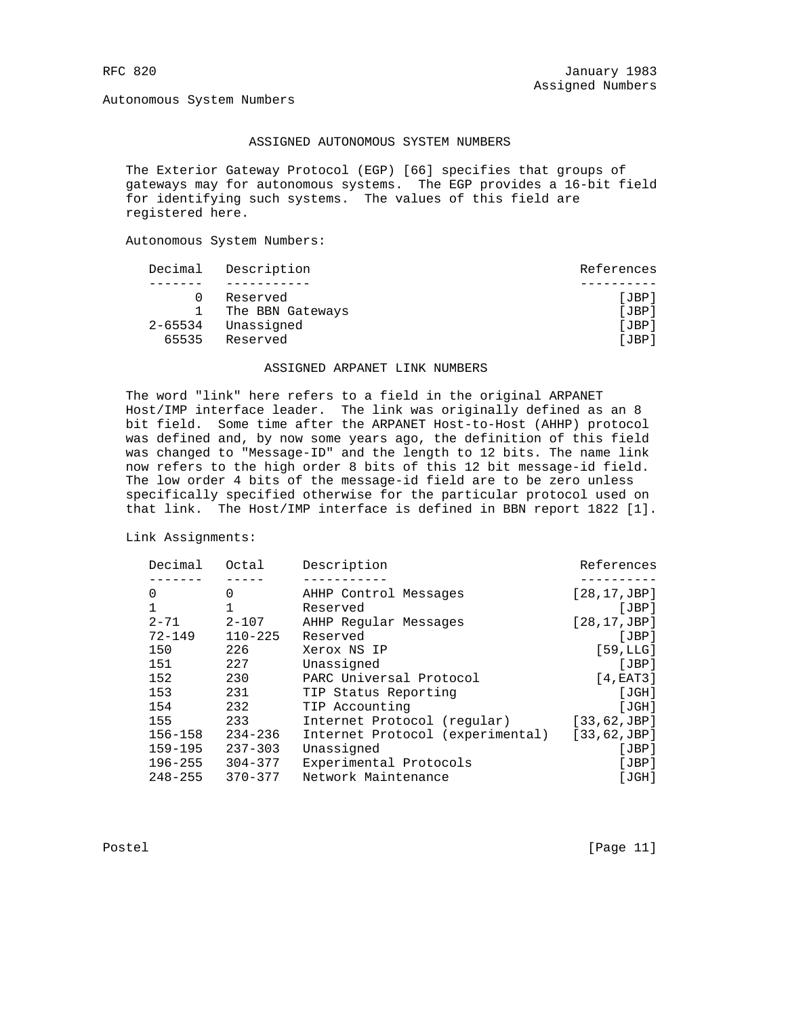Autonomous System Numbers

## ASSIGNED AUTONOMOUS SYSTEM NUMBERS

 The Exterior Gateway Protocol (EGP) [66] specifies that groups of gateways may for autonomous systems. The EGP provides a 16-bit field for identifying such systems. The values of this field are registered here.

Autonomous System Numbers:

|         | Decimal Description | References |
|---------|---------------------|------------|
|         |                     |            |
|         | Reserved            | [JBP]      |
|         | The BBN Gateways    | JBP        |
| 2-65534 | Unassigned          | JBP        |
| 65535   | Reserved            | JBP        |

#### ASSIGNED ARPANET LINK NUMBERS

 The word "link" here refers to a field in the original ARPANET Host/IMP interface leader. The link was originally defined as an 8 bit field. Some time after the ARPANET Host-to-Host (AHHP) protocol was defined and, by now some years ago, the definition of this field was changed to "Message-ID" and the length to 12 bits. The name link now refers to the high order 8 bits of this 12 bit message-id field. The low order 4 bits of the message-id field are to be zero unless specifically specified otherwise for the particular protocol used on that link. The Host/IMP interface is defined in BBN report 1822 [1].

Link Assignments:

| Decimal     | Octal       | Description                      | References    |
|-------------|-------------|----------------------------------|---------------|
|             |             |                                  |               |
| 0           | 0           | AHHP Control Messages            | [28, 17, JBP] |
| 1           |             | Reserved                         | [JBP]         |
| $2 - 71$    | $2 - 107$   | AHHP Reqular Messages            | [28, 17, JBP] |
| $72 - 149$  | $110 - 225$ | Reserved                         | JBP           |
| 150         | 226         | Xerox NS IP                      | [59, LLG]     |
| 151         | 227         | Unassigned                       | [JBP]         |
| 152         | 230         | PARC Universal Protocol          | [4, EAT3]     |
| 153         | 231         | TIP Status Reporting             | [JGH]         |
| 154         | 232         | TIP Accounting                   | [JGH]         |
| 155         | 233         | Internet Protocol (regular)      | [33, 62, JBP] |
| $156 - 158$ | $234 - 236$ | Internet Protocol (experimental) | [33, 62, JBP] |
| $159 - 195$ | $237 - 303$ | Unassigned                       | [JBP]         |
| $196 - 255$ | $304 - 377$ | Experimental Protocols           | [JBP]         |
| $248 - 255$ | $370 - 377$ | Network Maintenance              | [JGH]         |

Postel [Page 11]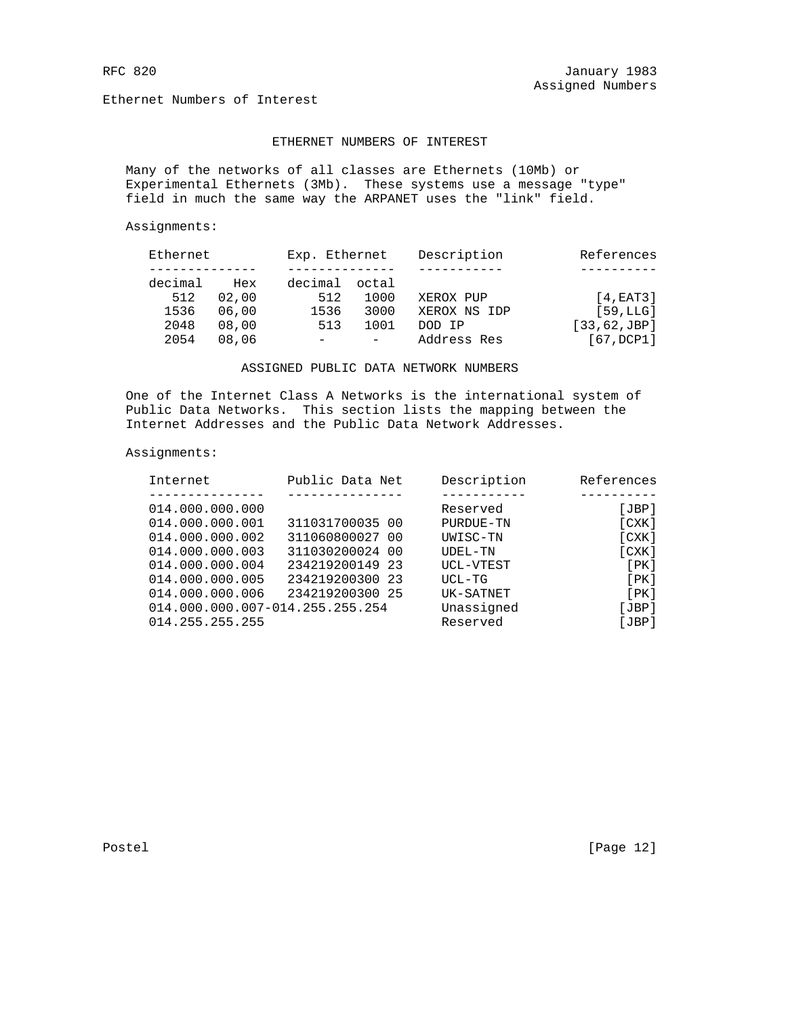Ethernet Numbers of Interest

# ETHERNET NUMBERS OF INTEREST

 Many of the networks of all classes are Ethernets (10Mb) or Experimental Ethernets (3Mb). These systems use a message "type" field in much the same way the ARPANET uses the "link" field.

Assignments:

| Ethernet |       | Exp. Ethernet |      | Description  | References    |
|----------|-------|---------------|------|--------------|---------------|
|          |       |               |      |              |               |
| decimal  | Hex   | decimal octal |      |              |               |
| 512      | 02,00 | 512           | 1000 | XEROX PUP    | [4, EAT3]     |
| 1536     | 06,00 | 1536          | 3000 | XEROX NS IDP | [59, LLG]     |
| 2048     | 08,00 | 513           | 1001 | DOD IP       | [33, 62, JBP] |
| 2054     | 08,06 | $-$           |      | Address Res  | [67,DCP1]     |

## ASSIGNED PUBLIC DATA NETWORK NUMBERS

 One of the Internet Class A Networks is the international system of Public Data Networks. This section lists the mapping between the Internet Addresses and the Public Data Network Addresses.

#### Assignments:

| Internet                        | Public Data Net | Description | References |
|---------------------------------|-----------------|-------------|------------|
|                                 |                 |             |            |
| 014.000.000.000                 |                 | Reserved    | [JBP]      |
| 014.000.000.001                 | 311031700035 00 | PURDUE-TN   | [CXK]      |
| 014.000.000.002                 | 311060800027 00 | UWISC-TN    | [CXK]      |
| 014.000.000.003                 | 311030200024 00 | UDEL-TN     | [CXK]      |
| 014.000.000.004                 | 234219200149 23 | UCL-VTEST   | [PK]       |
| 014.000.000.005                 | 234219200300 23 | UCL-TG      | [PK]       |
| 014.000.000.006                 | 234219200300 25 | UK-SATNET   | [PK]       |
| 014.000.000.007-014.255.255.254 |                 | Unassigned  | [JBP]      |
| 014.255.255.255                 |                 | Reserved    | [JBP]      |
|                                 |                 |             |            |

Postel [Page 12]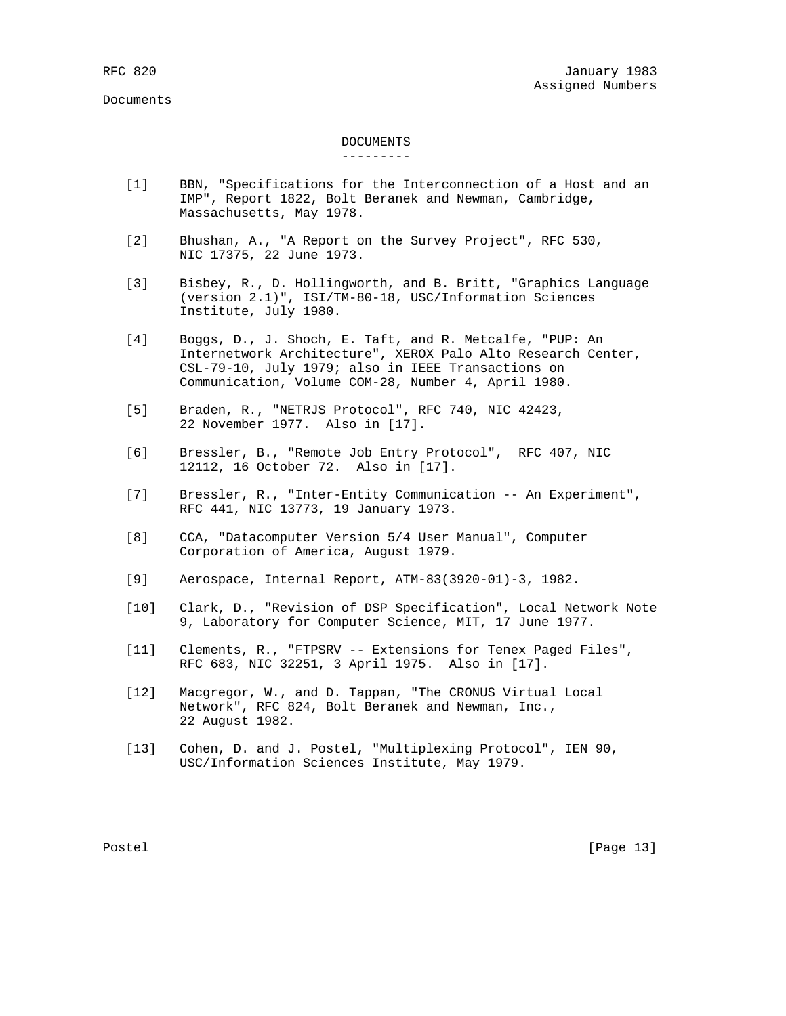# DOCUMENTS

#### ---------

- [1] BBN, "Specifications for the Interconnection of a Host and an IMP", Report 1822, Bolt Beranek and Newman, Cambridge, Massachusetts, May 1978.
- [2] Bhushan, A., "A Report on the Survey Project", RFC 530, NIC 17375, 22 June 1973.
- [3] Bisbey, R., D. Hollingworth, and B. Britt, "Graphics Language (version 2.1)", ISI/TM-80-18, USC/Information Sciences Institute, July 1980.
- [4] Boggs, D., J. Shoch, E. Taft, and R. Metcalfe, "PUP: An Internetwork Architecture", XEROX Palo Alto Research Center, CSL-79-10, July 1979; also in IEEE Transactions on Communication, Volume COM-28, Number 4, April 1980.
- [5] Braden, R., "NETRJS Protocol", RFC 740, NIC 42423, 22 November 1977. Also in [17].
- [6] Bressler, B., "Remote Job Entry Protocol", RFC 407, NIC 12112, 16 October 72. Also in [17].
- [7] Bressler, R., "Inter-Entity Communication -- An Experiment", RFC 441, NIC 13773, 19 January 1973.
- [8] CCA, "Datacomputer Version 5/4 User Manual", Computer Corporation of America, August 1979.
- [9] Aerospace, Internal Report, ATM-83(3920-01)-3, 1982.
- [10] Clark, D., "Revision of DSP Specification", Local Network Note 9, Laboratory for Computer Science, MIT, 17 June 1977.
- [11] Clements, R., "FTPSRV -- Extensions for Tenex Paged Files", RFC 683, NIC 32251, 3 April 1975. Also in [17].
- [12] Macgregor, W., and D. Tappan, "The CRONUS Virtual Local Network", RFC 824, Bolt Beranek and Newman, Inc., 22 August 1982.
- [13] Cohen, D. and J. Postel, "Multiplexing Protocol", IEN 90, USC/Information Sciences Institute, May 1979.

Postel [Page 13]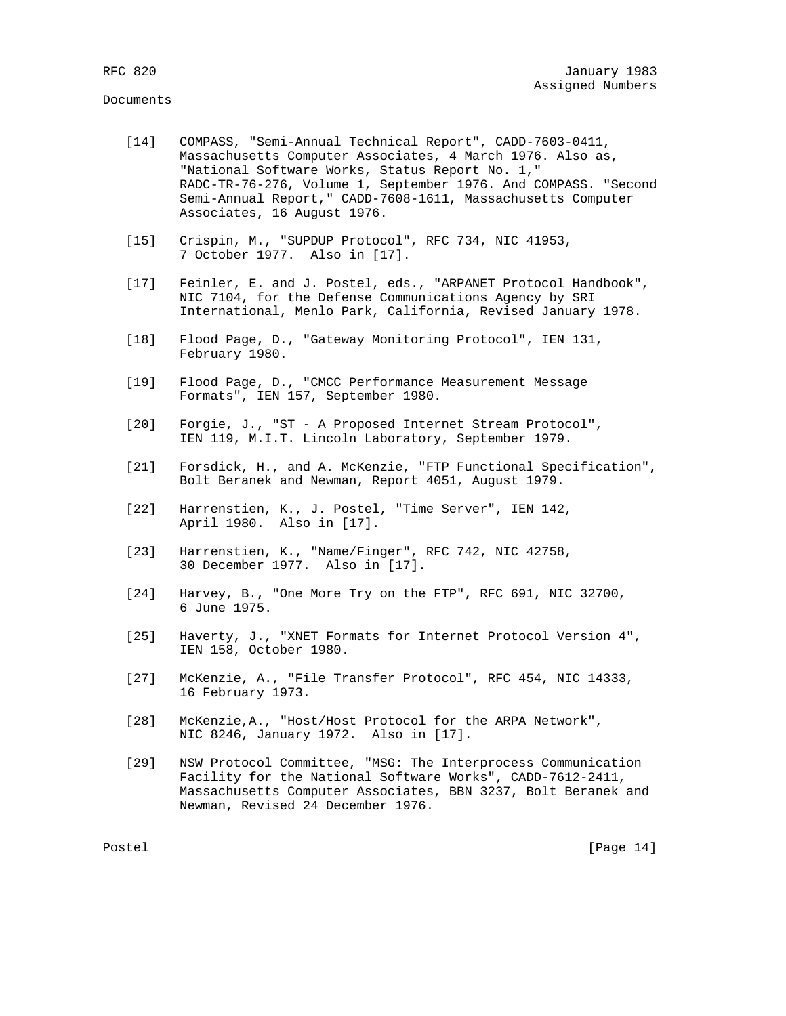- [14] COMPASS, "Semi-Annual Technical Report", CADD-7603-0411, Massachusetts Computer Associates, 4 March 1976. Also as, "National Software Works, Status Report No. 1," RADC-TR-76-276, Volume 1, September 1976. And COMPASS. "Second Semi-Annual Report," CADD-7608-1611, Massachusetts Computer Associates, 16 August 1976.
- [15] Crispin, M., "SUPDUP Protocol", RFC 734, NIC 41953, 7 October 1977. Also in [17].
- [17] Feinler, E. and J. Postel, eds., "ARPANET Protocol Handbook", NIC 7104, for the Defense Communications Agency by SRI International, Menlo Park, California, Revised January 1978.
- [18] Flood Page, D., "Gateway Monitoring Protocol", IEN 131, February 1980.
- [19] Flood Page, D., "CMCC Performance Measurement Message Formats", IEN 157, September 1980.
- [20] Forgie, J., "ST A Proposed Internet Stream Protocol", IEN 119, M.I.T. Lincoln Laboratory, September 1979.
- [21] Forsdick, H., and A. McKenzie, "FTP Functional Specification", Bolt Beranek and Newman, Report 4051, August 1979.
- [22] Harrenstien, K., J. Postel, "Time Server", IEN 142, April 1980. Also in [17].
- [23] Harrenstien, K., "Name/Finger", RFC 742, NIC 42758, 30 December 1977. Also in [17].
- [24] Harvey, B., "One More Try on the FTP", RFC 691, NIC 32700, 6 June 1975.
- [25] Haverty, J., "XNET Formats for Internet Protocol Version 4", IEN 158, October 1980.
- [27] McKenzie, A., "File Transfer Protocol", RFC 454, NIC 14333, 16 February 1973.
- [28] McKenzie,A., "Host/Host Protocol for the ARPA Network", NIC 8246, January 1972. Also in [17].
- [29] NSW Protocol Committee, "MSG: The Interprocess Communication Facility for the National Software Works", CADD-7612-2411, Massachusetts Computer Associates, BBN 3237, Bolt Beranek and Newman, Revised 24 December 1976.

Postel [Page 14]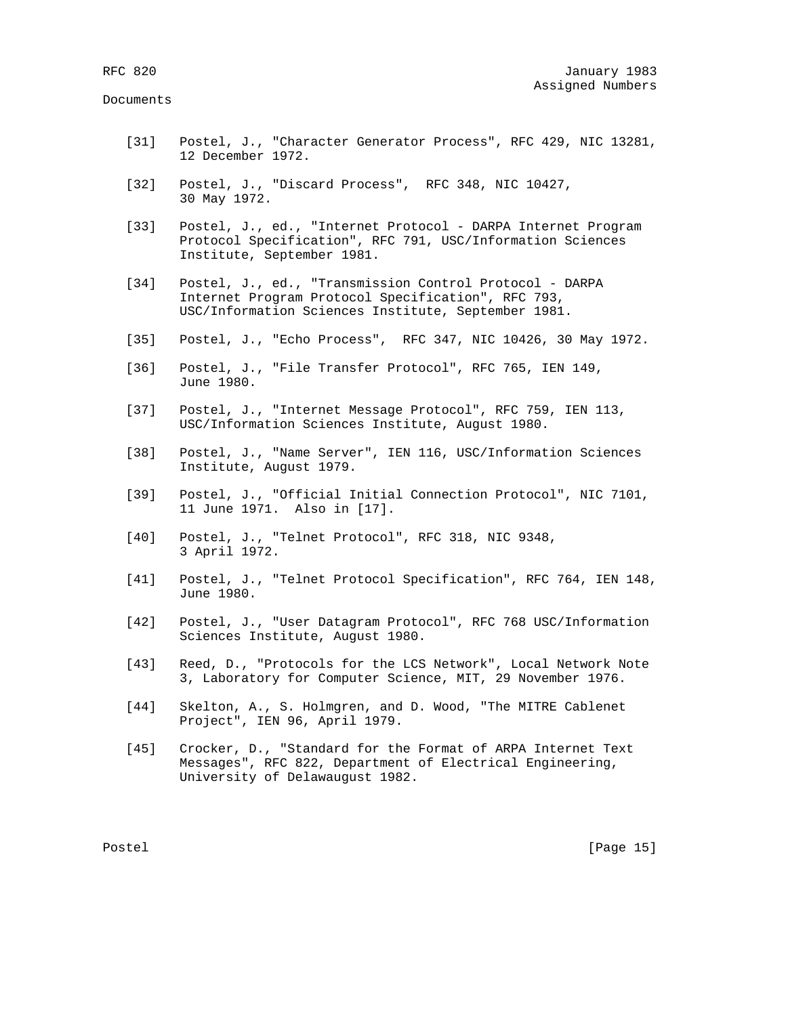- [31] Postel, J., "Character Generator Process", RFC 429, NIC 13281, 12 December 1972.
- [32] Postel, J., "Discard Process", RFC 348, NIC 10427, 30 May 1972.
- [33] Postel, J., ed., "Internet Protocol DARPA Internet Program Protocol Specification", RFC 791, USC/Information Sciences Institute, September 1981.
- [34] Postel, J., ed., "Transmission Control Protocol DARPA Internet Program Protocol Specification", RFC 793, USC/Information Sciences Institute, September 1981.
- [35] Postel, J., "Echo Process", RFC 347, NIC 10426, 30 May 1972.
- [36] Postel, J., "File Transfer Protocol", RFC 765, IEN 149, June 1980.
- [37] Postel, J., "Internet Message Protocol", RFC 759, IEN 113, USC/Information Sciences Institute, August 1980.
- [38] Postel, J., "Name Server", IEN 116, USC/Information Sciences Institute, August 1979.
- [39] Postel, J., "Official Initial Connection Protocol", NIC 7101, 11 June 1971. Also in [17].
- [40] Postel, J., "Telnet Protocol", RFC 318, NIC 9348, 3 April 1972.
- [41] Postel, J., "Telnet Protocol Specification", RFC 764, IEN 148, June 1980.
- [42] Postel, J., "User Datagram Protocol", RFC 768 USC/Information Sciences Institute, August 1980.
- [43] Reed, D., "Protocols for the LCS Network", Local Network Note 3, Laboratory for Computer Science, MIT, 29 November 1976.
- [44] Skelton, A., S. Holmgren, and D. Wood, "The MITRE Cablenet Project", IEN 96, April 1979.
- [45] Crocker, D., "Standard for the Format of ARPA Internet Text Messages", RFC 822, Department of Electrical Engineering, University of Delawaugust 1982.

Postel [Page 15]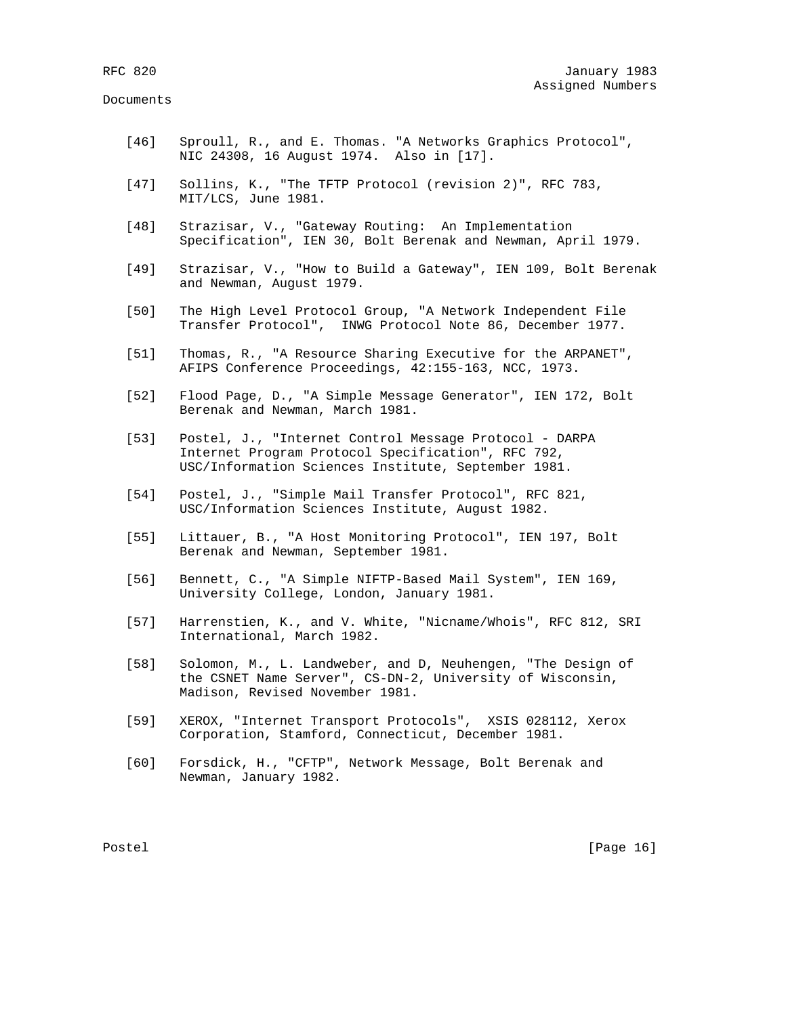- [46] Sproull, R., and E. Thomas. "A Networks Graphics Protocol", NIC 24308, 16 August 1974. Also in [17].
- [47] Sollins, K., "The TFTP Protocol (revision 2)", RFC 783, MIT/LCS, June 1981.
- [48] Strazisar, V., "Gateway Routing: An Implementation Specification", IEN 30, Bolt Berenak and Newman, April 1979.
- [49] Strazisar, V., "How to Build a Gateway", IEN 109, Bolt Berenak and Newman, August 1979.
- [50] The High Level Protocol Group, "A Network Independent File Transfer Protocol", INWG Protocol Note 86, December 1977.
- [51] Thomas, R., "A Resource Sharing Executive for the ARPANET", AFIPS Conference Proceedings, 42:155-163, NCC, 1973.
- [52] Flood Page, D., "A Simple Message Generator", IEN 172, Bolt Berenak and Newman, March 1981.
- [53] Postel, J., "Internet Control Message Protocol DARPA Internet Program Protocol Specification", RFC 792, USC/Information Sciences Institute, September 1981.
- [54] Postel, J., "Simple Mail Transfer Protocol", RFC 821, USC/Information Sciences Institute, August 1982.
- [55] Littauer, B., "A Host Monitoring Protocol", IEN 197, Bolt Berenak and Newman, September 1981.
- [56] Bennett, C., "A Simple NIFTP-Based Mail System", IEN 169, University College, London, January 1981.
- [57] Harrenstien, K., and V. White, "Nicname/Whois", RFC 812, SRI International, March 1982.
- [58] Solomon, M., L. Landweber, and D, Neuhengen, "The Design of the CSNET Name Server", CS-DN-2, University of Wisconsin, Madison, Revised November 1981.
- [59] XEROX, "Internet Transport Protocols", XSIS 028112, Xerox Corporation, Stamford, Connecticut, December 1981.
- [60] Forsdick, H., "CFTP", Network Message, Bolt Berenak and Newman, January 1982.

Postel [Page 16]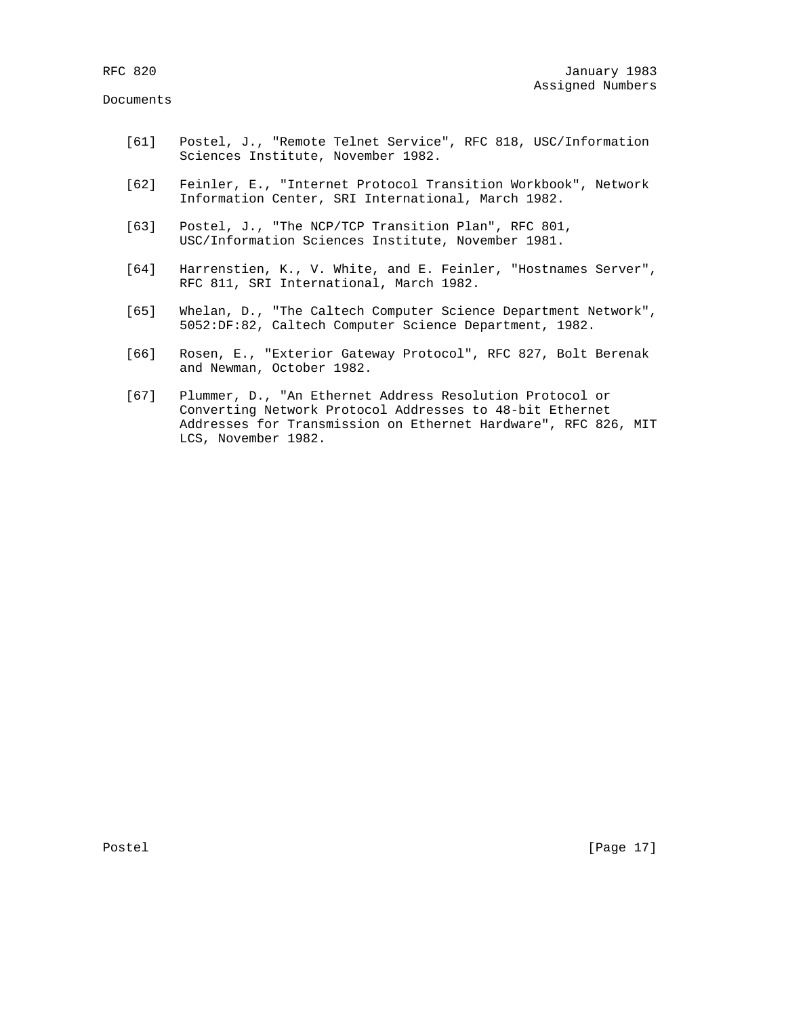- [61] Postel, J., "Remote Telnet Service", RFC 818, USC/Information Sciences Institute, November 1982.
- [62] Feinler, E., "Internet Protocol Transition Workbook", Network Information Center, SRI International, March 1982.
- [63] Postel, J., "The NCP/TCP Transition Plan", RFC 801, USC/Information Sciences Institute, November 1981.
- [64] Harrenstien, K., V. White, and E. Feinler, "Hostnames Server", RFC 811, SRI International, March 1982.
- [65] Whelan, D., "The Caltech Computer Science Department Network", 5052:DF:82, Caltech Computer Science Department, 1982.
- [66] Rosen, E., "Exterior Gateway Protocol", RFC 827, Bolt Berenak and Newman, October 1982.
- [67] Plummer, D., "An Ethernet Address Resolution Protocol or Converting Network Protocol Addresses to 48-bit Ethernet Addresses for Transmission on Ethernet Hardware", RFC 826, MIT LCS, November 1982.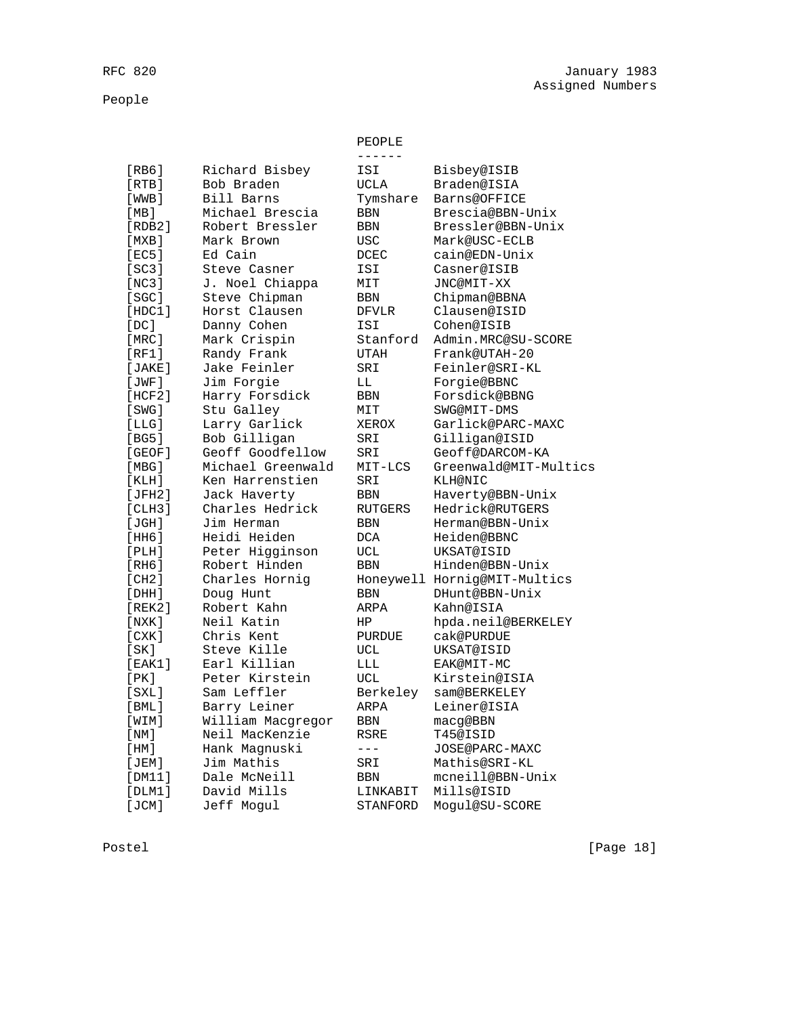People

|             |                   | $- - - - - -$  |                              |
|-------------|-------------------|----------------|------------------------------|
| [RB6]       | Richard Bisbey    | ISI            | Bisbey@ISIB                  |
| [RTB]       | Bob Braden        | <b>UCLA</b>    | <b>Braden@ISIA</b>           |
| [WWB]       | Bill Barns        | Tymshare       | Barns@OFFICE                 |
| [MB]        | Michael Brescia   | <b>BBN</b>     | Brescia@BBN-Unix             |
| [RDB2]      | Robert Bressler   | <b>BBN</b>     | Bressler@BBN-Unix            |
| [MXB]       | Mark Brown        | USC            | Mark@USC-ECLB                |
| [EC5]       | Ed Cain           | <b>DCEC</b>    | cain@EDN-Unix                |
| [SC3]       | Steve Casner      | ISI            | Casner@ISIB                  |
| [NC3]       | J. Noel Chiappa   | MIT            | JNC@MIT-XX                   |
| [SC]        | Steve Chipman     | <b>BBN</b>     | Chipman@BBNA                 |
| [HDC1]      | Horst Clausen     | <b>DFVLR</b>   | Clausen@ISID                 |
| [DC]        | Danny Cohen       | ISI            | Cohen@ISIB                   |
| [MRC]       | Mark Crispin      | Stanford       | Admin.MRC@SU-SCORE           |
| [RF1]       | Randy Frank       | <b>UTAH</b>    | Frank@UTAH-20                |
| [JAKE]      | Jake Feinler      | SRI            | Feinler@SRI-KL               |
| [JWF]       | Jim Forgie        | LL             | Forgie@BBNC                  |
| [HCF2]      | Harry Forsdick    | BBN            | Forsdick@BBNG                |
| [SWG]       | Stu Galley        | MIT            | SWG@MIT-DMS                  |
| [LLG]       | Larry Garlick     | XEROX          | Garlick@PARC-MAXC            |
| [BG5]       | Bob Gilligan      | SRI            | Gilligan@ISID                |
| [GEOF]      | Geoff Goodfellow  | SRI            | Geoff@DARCOM-KA              |
| [MBG]       | Michael Greenwald | MIT-LCS        | Greenwald@MIT-Multics        |
| [KLH]       | Ken Harrenstien   | SRI            | <b>KLH@NIC</b>               |
| [JFH2]      | Jack Haverty      | <b>BBN</b>     | Haverty@BBN-Unix             |
| [CHH3]      | Charles Hedrick   | <b>RUTGERS</b> | <b>Hedrick@RUTGERS</b>       |
| [JGH]       | Jim Herman        | BBN            | Herman@BBN-Unix              |
| [HH6]       | Heidi Heiden      | <b>DCA</b>     | Heiden@BBNC                  |
| [PLH]       | Peter Higginson   | <b>UCL</b>     | UKSAT@ISID                   |
| [RH6]       | Robert Hinden     | <b>BBN</b>     | Hinden@BBN-Unix              |
| [CH2]       | Charles Hornig    |                | Honeywell Hornig@MIT-Multics |
| [DHH]       | Doug Hunt         | <b>BBN</b>     | DHunt@BBN-Unix               |
| [REK2]      | Robert Kahn       | ARPA           | Kahn@ISIA                    |
| [ NXK ]     | Neil Katin        | HP             | hpda.neil@BERKELEY           |
| [CXK]       | Chris Kent        | <b>PURDUE</b>  | cak@PURDUE                   |
| [SK]        | Steve Kille       | UCL            | UKSAT@ISID                   |
| [EAK1]      | Earl Killian      | LLL            | EAK@MIT-MC                   |
| [ PK ]      | Peter Kirstein    | UCL            | Kirstein@ISIA                |
| [SXL]       | Sam Leffler       | Berkeley       | sam@BERKELEY                 |
| $[$ BML $]$ | Barry Leiner      | ARPA           | Leiner@ISIA                  |
| [WIM]       | William Macqregor | <b>BBN</b>     | macq@BBN                     |
| [NM]        | Neil MacKenzie    | <b>RSRE</b>    | T45@ISID                     |
| [HM]        | Hank Magnuski     | $---$          | JOSE@PARC-MAXC               |
| [JEM]       | Jim Mathis        | SRI            | Mathis@SRI-KL                |
| [DM11]      | Dale McNeill      | <b>BBN</b>     | mcneill@BBN-Unix             |
| [DIM1]      | David Mills       | LINKABIT       | Mills@ISID                   |
| [JCM]       | Jeff Moqul        | STANFORD       | Moqul@SU-SCORE               |

PEOPLE

Postel [Page 18]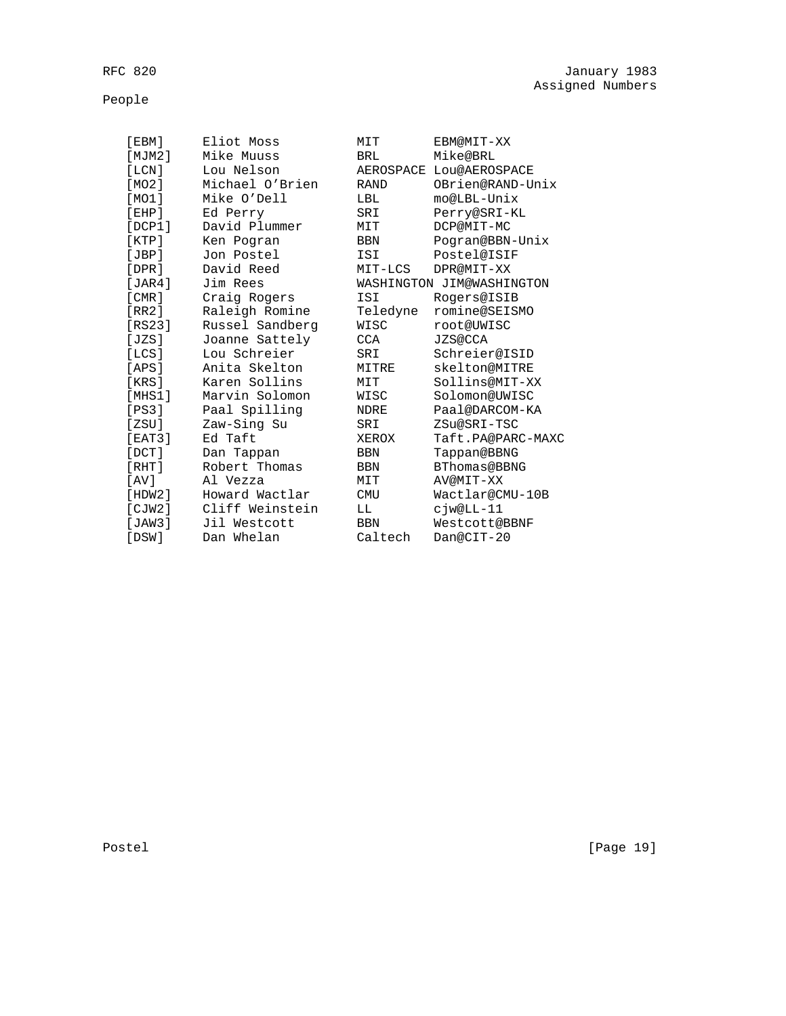People

| [EBM]        | Eliot Moss      | MIT         | EBM@MIT-XX                |
|--------------|-----------------|-------------|---------------------------|
| [MJM2]       | Mike Muuss      | BRL         | Mike@BRL                  |
| [LCN]        | Lou Nelson      |             | AEROSPACE LOU@AEROSPACE   |
| [MO2]        | Michael O'Brien | <b>RAND</b> | OBrien@RAND-Unix          |
| [MO1]        | Mike O'Dell     | LBL         | mo@LBL-Unix               |
| [EHP]        | Ed Perry        | SRI         | Perry@SRI-KL              |
| [DCP1]       | David Plummer   | MIT         | DCP@MIT-MC                |
| [KTP]        | Ken Pogran      | BBN         | Pogran@BBN-Unix           |
| JBP          | Jon Postel      | ISI         | Postel@ISIF               |
| [DPR]        | David Reed      | MIT-LCS     | DPR@MIT-XX                |
| JAR4         | Jim Rees        |             | WASHINGTON JIM@WASHINGTON |
| [CMR]        | Craig Rogers    | ISI         | Rogers@ISIB               |
| IRR21        | Raleigh Romine  | Teledyne    | romine@SEISMO             |
| [RS23]       | Russel Sandberg | WISC        | root@UWISC                |
| [JZS]        | Joanne Sattely  | CCA         | <b>JZS@CCA</b>            |
| $ILCS$ ]     | Lou Schreier    | SRI         | Schreier@ISID             |
| [APS]        | Anita Skelton   | MITRE       | skelton@MITRE             |
| [KRS]        | Karen Sollins   | MIT         | Sollins@MIT-XX            |
| [MHS1]       | Marvin Solomon  | WISC        | Solomon@UWISC             |
| [PS3]        | Paal Spilling   | NDRE        | Paal@DARCOM-KA            |
| [2SU]        | Zaw-Sing Su     | SRI         | ZSu@SRI-TSC               |
| [EAT3]       | Ed Taft         | XEROX       | Taft.PA@PARC-MAXC         |
| $[$ DCT $]$  | Dan Tappan      | <b>BBN</b>  | Tappan@BBNG               |
| [RHT]        | Robert Thomas   | BBN         | BThomas@BBNG              |
| [AV]         | Al Vezza        | MIT         | AV@MIT-XX                 |
| $[$ HDW $2]$ | Howard Wactlar  | <b>CMU</b>  | Wactlar@CMU-10B           |
| [CIW2]       | Cliff Weinstein | LL          | cjw@LL-11                 |
| $JAW3$ ]     | Jil Westcott    | <b>BBN</b>  | Westcott@BBNF             |
| [DSW]        | Dan Whelan      | Caltech     | Dan@CIT-20                |

Postel [Page 19]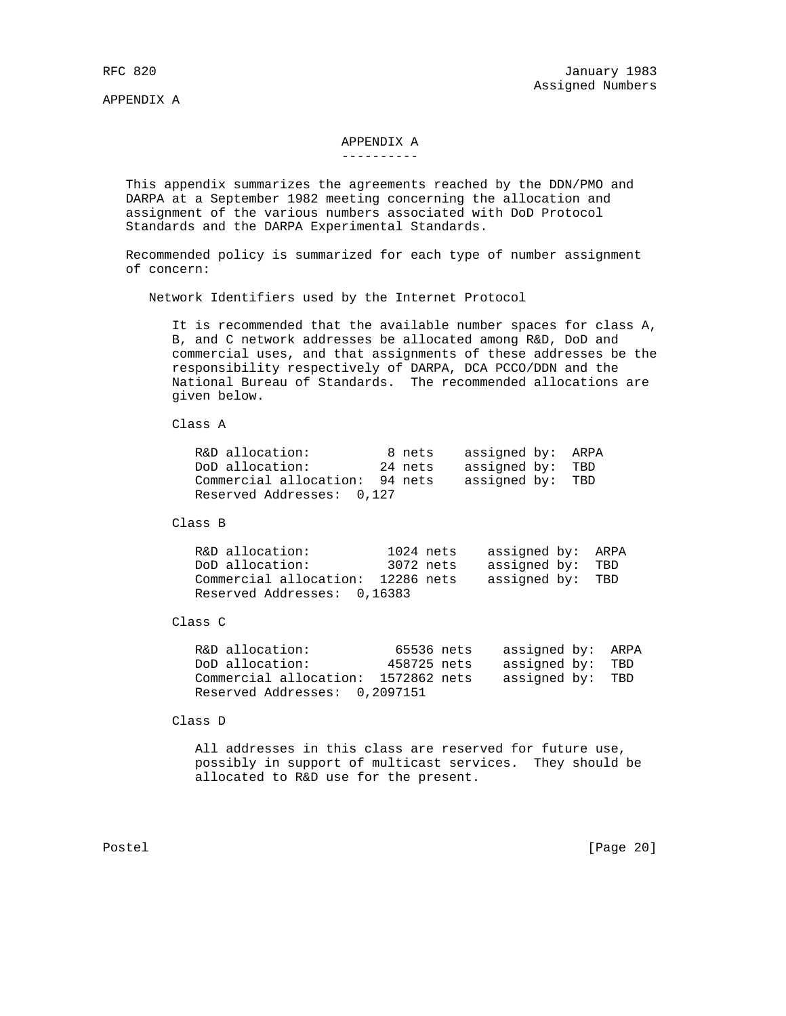APPENDIX A

# APPENDIX A

#### ----------

 This appendix summarizes the agreements reached by the DDN/PMO and DARPA at a September 1982 meeting concerning the allocation and assignment of the various numbers associated with DoD Protocol Standards and the DARPA Experimental Standards.

 Recommended policy is summarized for each type of number assignment of concern:

Network Identifiers used by the Internet Protocol

 It is recommended that the available number spaces for class A, B, and C network addresses be allocated among R&D, DoD and commercial uses, and that assignments of these addresses be the responsibility respectively of DARPA, DCA PCCO/DDN and the National Bureau of Standards. The recommended allocations are given below.

Class A

| R&D allocation:                | 8 nets  | assigned by: ARPA |  |
|--------------------------------|---------|-------------------|--|
| DoD allocation:                | 24 nets | assigned by: TBD  |  |
| Commercial allocation: 94 nets |         | assigned by: TBD  |  |
| Reserved Addresses: 0,127      |         |                   |  |

Class B

R&D allocation: 1024 nets assigned by: ARPA<br>DoD allocation: 3072 nets assigned by: TBD DoD allocation: 3072 nets assigned by: TBD Commercial allocation: 12286 nets assigned by: TBD Reserved Addresses: 0,16383

Class C

| R&D allocation:                     | 65536 nets  | assigned by: ARPA |  |
|-------------------------------------|-------------|-------------------|--|
| DoD allocation:                     | 458725 nets | assigned by: TBD  |  |
| Commercial allocation: 1572862 nets |             | assigned by: TBD  |  |
| Reserved Addresses: 0,2097151       |             |                   |  |

Class D

 All addresses in this class are reserved for future use, possibly in support of multicast services. They should be allocated to R&D use for the present.

Postel [Page 20]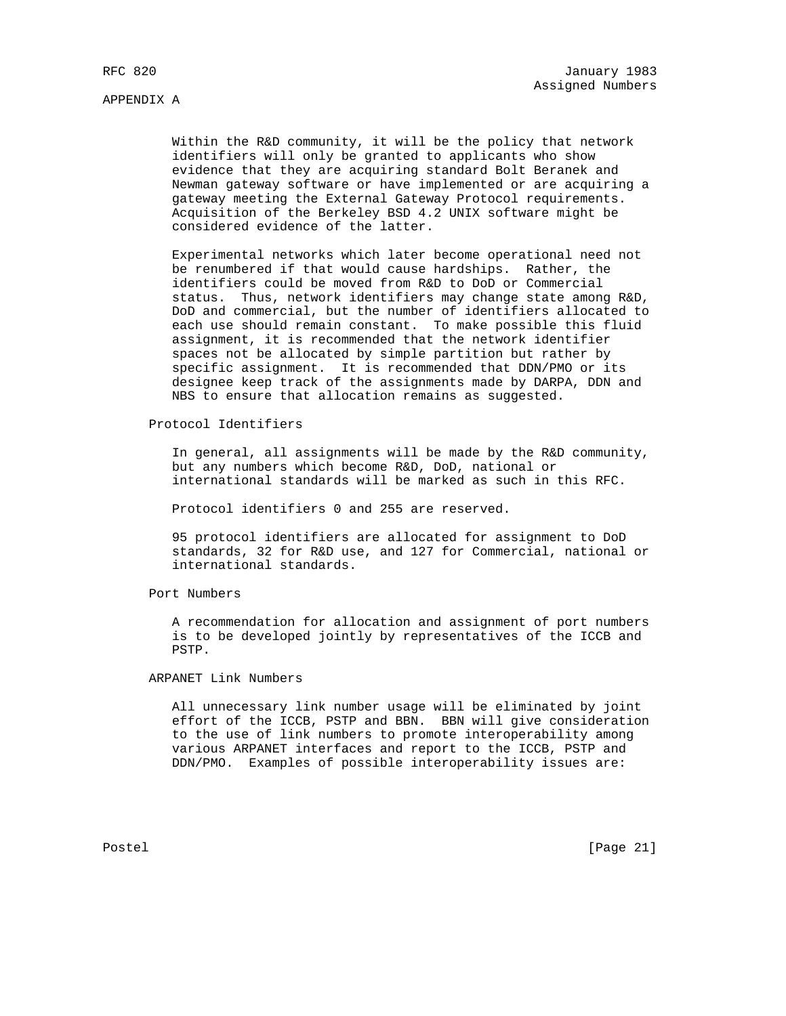APPENDIX A

 Within the R&D community, it will be the policy that network identifiers will only be granted to applicants who show evidence that they are acquiring standard Bolt Beranek and Newman gateway software or have implemented or are acquiring a gateway meeting the External Gateway Protocol requirements. Acquisition of the Berkeley BSD 4.2 UNIX software might be considered evidence of the latter.

 Experimental networks which later become operational need not be renumbered if that would cause hardships. Rather, the identifiers could be moved from R&D to DoD or Commercial status. Thus, network identifiers may change state among R&D, DoD and commercial, but the number of identifiers allocated to each use should remain constant. To make possible this fluid assignment, it is recommended that the network identifier spaces not be allocated by simple partition but rather by specific assignment. It is recommended that DDN/PMO or its designee keep track of the assignments made by DARPA, DDN and NBS to ensure that allocation remains as suggested.

Protocol Identifiers

 In general, all assignments will be made by the R&D community, but any numbers which become R&D, DoD, national or international standards will be marked as such in this RFC.

Protocol identifiers 0 and 255 are reserved.

 95 protocol identifiers are allocated for assignment to DoD standards, 32 for R&D use, and 127 for Commercial, national or international standards.

Port Numbers

 A recommendation for allocation and assignment of port numbers is to be developed jointly by representatives of the ICCB and PSTP.

ARPANET Link Numbers

 All unnecessary link number usage will be eliminated by joint effort of the ICCB, PSTP and BBN. BBN will give consideration to the use of link numbers to promote interoperability among various ARPANET interfaces and report to the ICCB, PSTP and DDN/PMO. Examples of possible interoperability issues are:

Postel [Page 21]